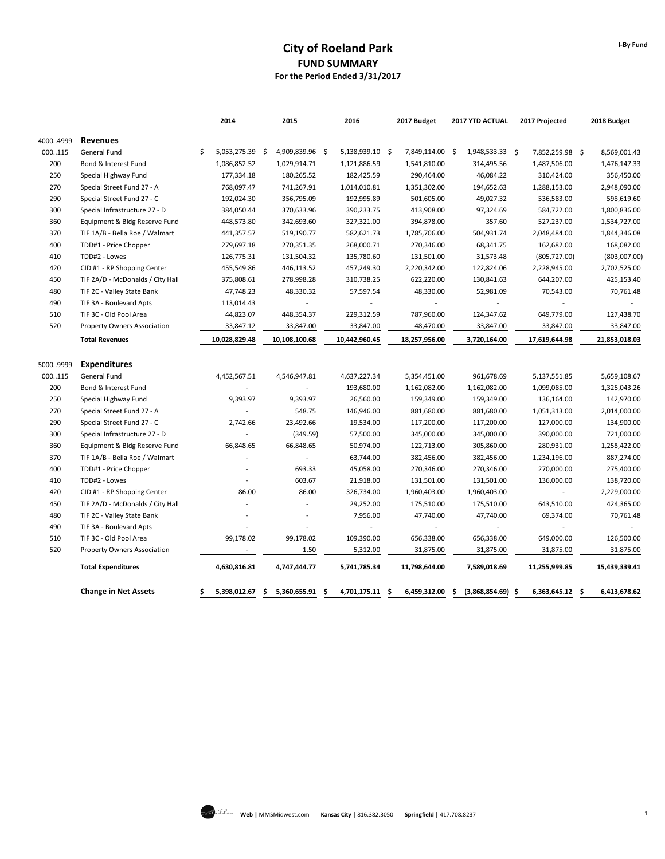# **City of Roeland Park FUND SUMMARY For the Period Ended 3/31/2017**

|          |                                    | 2014                  | 2015                | 2016                | 2017 Budget         | 2017 YTD ACTUAL      | 2017 Projected     | 2018 Budget        |
|----------|------------------------------------|-----------------------|---------------------|---------------------|---------------------|----------------------|--------------------|--------------------|
| 40004999 | <b>Revenues</b>                    |                       |                     |                     |                     |                      |                    |                    |
| 000115   | General Fund                       | 5,053,275.39 \$<br>Ŝ. | 4,909,839.96 \$     | 5,138,939.10 \$     | 7,849,114.00 \$     | 1,948,533.33 \$      | 7,852,259.98 \$    | 8,569,001.43       |
| 200      | Bond & Interest Fund               | 1,086,852.52          | 1,029,914.71        | 1,121,886.59        | 1,541,810.00        | 314,495.56           | 1,487,506.00       | 1,476,147.33       |
| 250      | Special Highway Fund               | 177,334.18            | 180,265.52          | 182,425.59          | 290,464.00          | 46,084.22            | 310,424.00         | 356,450.00         |
| 270      | Special Street Fund 27 - A         | 768,097.47            | 741,267.91          | 1,014,010.81        | 1,351,302.00        | 194,652.63           | 1,288,153.00       | 2,948,090.00       |
| 290      | Special Street Fund 27 - C         | 192,024.30            | 356,795.09          | 192,995.89          | 501,605.00          | 49,027.32            | 536,583.00         | 598,619.60         |
| 300      | Special Infrastructure 27 - D      | 384,050.44            | 370,633.96          | 390,233.75          | 413,908.00          | 97,324.69            | 584,722.00         | 1,800,836.00       |
| 360      | Equipment & Bldg Reserve Fund      | 448,573.80            | 342,693.60          | 327,321.00          | 394,878.00          | 357.60               | 527,237.00         | 1,534,727.00       |
| 370      | TIF 1A/B - Bella Roe / Walmart     | 441,357.57            | 519,190.77          | 582,621.73          | 1,785,706.00        | 504,931.74           | 2,048,484.00       | 1,844,346.08       |
| 400      | TDD#1 - Price Chopper              | 279,697.18            | 270,351.35          | 268,000.71          | 270,346.00          | 68,341.75            | 162,682.00         | 168,082.00         |
| 410      | TDD#2 - Lowes                      | 126,775.31            | 131,504.32          | 135,780.60          | 131,501.00          | 31,573.48            | (805, 727.00)      | (803,007.00)       |
| 420      | CID #1 - RP Shopping Center        | 455,549.86            | 446,113.52          | 457,249.30          | 2,220,342.00        | 122,824.06           | 2,228,945.00       | 2,702,525.00       |
| 450      | TIF 2A/D - McDonalds / City Hall   | 375,808.61            | 278,998.28          | 310,738.25          | 622,220.00          | 130,841.63           | 644,207.00         | 425,153.40         |
| 480      | TIF 2C - Valley State Bank         | 47,748.23             | 48,330.32           | 57,597.54           | 48,330.00           | 52,981.09            | 70,543.00          | 70,761.48          |
| 490      | TIF 3A - Boulevard Apts            | 113,014.43            | $\overline{a}$      |                     | ÷.                  | $\overline{a}$       |                    |                    |
| 510      | TIF 3C - Old Pool Area             | 44,823.07             | 448,354.37          | 229,312.59          | 787,960.00          | 124,347.62           | 649,779.00         | 127,438.70         |
| 520      | <b>Property Owners Association</b> | 33,847.12             | 33,847.00           | 33,847.00           | 48,470.00           | 33,847.00            | 33,847.00          | 33,847.00          |
|          | <b>Total Revenues</b>              | 10,028,829.48         | 10,108,100.68       | 10,442,960.45       | 18,257,956.00       | 3,720,164.00         | 17,619,644.98      | 21,853,018.03      |
| 50009999 | <b>Expenditures</b>                |                       |                     |                     |                     |                      |                    |                    |
| 000115   | General Fund                       | 4,452,567.51          | 4,546,947.81        | 4,637,227.34        | 5,354,451.00        | 961,678.69           | 5,137,551.85       | 5,659,108.67       |
| 200      | Bond & Interest Fund               |                       | $\overline{a}$      | 193,680.00          | 1,162,082.00        | 1,162,082.00         | 1,099,085.00       | 1,325,043.26       |
| 250      | Special Highway Fund               | 9,393.97              | 9,393.97            | 26,560.00           | 159,349.00          | 159,349.00           | 136,164.00         | 142,970.00         |
| 270      | Special Street Fund 27 - A         |                       | 548.75              | 146,946.00          | 881,680.00          | 881,680.00           | 1,051,313.00       | 2,014,000.00       |
| 290      | Special Street Fund 27 - C         | 2,742.66              | 23,492.66           | 19,534.00           | 117,200.00          | 117,200.00           | 127,000.00         | 134,900.00         |
| 300      | Special Infrastructure 27 - D      |                       | (349.59)            | 57,500.00           | 345,000.00          | 345,000.00           | 390,000.00         | 721,000.00         |
| 360      | Equipment & Bldg Reserve Fund      | 66,848.65             | 66,848.65           | 50,974.00           | 122,713.00          | 305,860.00           | 280,931.00         | 1,258,422.00       |
| 370      | TIF 1A/B - Bella Roe / Walmart     |                       | $\overline{a}$      | 63,744.00           | 382,456.00          | 382,456.00           | 1,234,196.00       | 887,274.00         |
| 400      | TDD#1 - Price Chopper              |                       | 693.33              | 45,058.00           | 270,346.00          | 270,346.00           | 270,000.00         | 275,400.00         |
| 410      | TDD#2 - Lowes                      |                       | 603.67              | 21,918.00           | 131,501.00          | 131,501.00           | 136,000.00         | 138,720.00         |
| 420      | CID #1 - RP Shopping Center        | 86.00                 | 86.00               | 326,734.00          | 1,960,403.00        | 1,960,403.00         | $\overline{a}$     | 2,229,000.00       |
| 450      | TIF 2A/D - McDonalds / City Hall   |                       |                     | 29,252.00           | 175,510.00          | 175,510.00           | 643,510.00         | 424,365.00         |
| 480      | TIF 2C - Valley State Bank         |                       | $\overline{a}$      | 7,956.00            | 47,740.00           | 47,740.00            | 69,374.00          | 70,761.48          |
| 490      | TIF 3A - Boulevard Apts            |                       | $\overline{a}$      |                     |                     |                      |                    |                    |
| 510      | TIF 3C - Old Pool Area             | 99,178.02             | 99,178.02           | 109,390.00          | 656,338.00          | 656,338.00           | 649,000.00         | 126,500.00         |
| 520      | Property Owners Association        |                       | 1.50                | 5,312.00            | 31,875.00           | 31,875.00            | 31,875.00          | 31,875.00          |
|          | <b>Total Expenditures</b>          | 4,630,816.81          | 4,747,444.77        | 5,741,785.34        | 11,798,644.00       | 7,589,018.69         | 11,255,999.85      | 15,439,339.41      |
|          | <b>Change in Net Assets</b>        | \$<br>5,398,012.67    | 5,360,655.91<br>\$. | 4,701,175.11<br>\$. | 6,459,312.00<br>-\$ | (3,868,854.69)<br>\$ | 6,363,645.12<br>\$ | \$<br>6,413,678.62 |

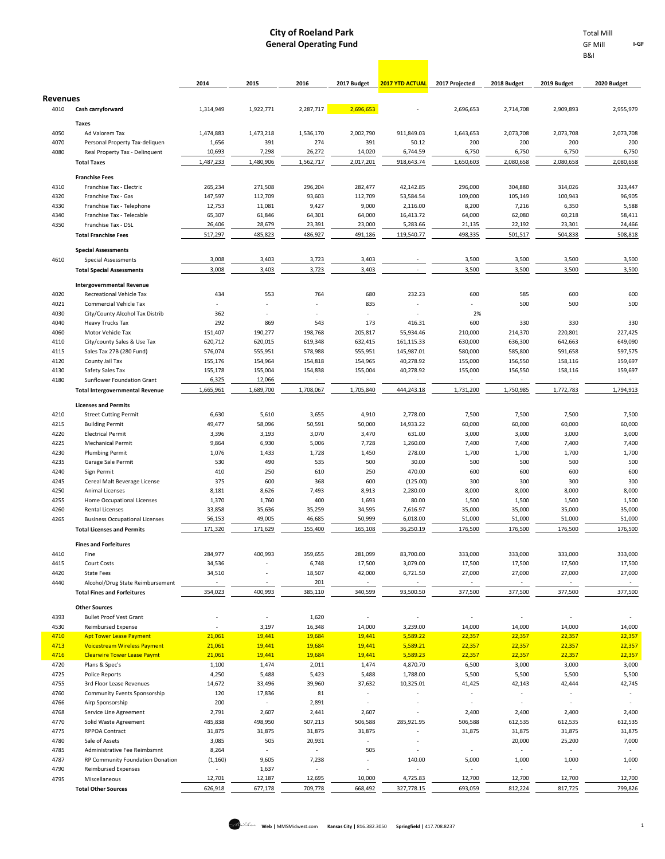**Contract** 

B&I

|                 |                                                                           | 2014                     | 2015               | 2016               | 2017 Budget              | <b>2017 YTD ACTUAL</b>  | 2017 Projected           | 2018 Budget              | 2019 Budget        | 2020 Budget              |
|-----------------|---------------------------------------------------------------------------|--------------------------|--------------------|--------------------|--------------------------|-------------------------|--------------------------|--------------------------|--------------------|--------------------------|
| <b>Revenues</b> |                                                                           |                          |                    |                    |                          |                         |                          |                          |                    |                          |
| 4010            | Cash carryforward                                                         | 1,314,949                | 1,922,771          | 2,287,717          | 2,696,653                |                         | 2,696,653                | 2,714,708                | 2,909,893          | 2,955,979                |
| 4050            | Taxes<br>Ad Valorem Tax                                                   | 1,474,883                | 1,473,218          | 1,536,170          | 2,002,790                | 911,849.03              | 1,643,653                | 2,073,708                | 2,073,708          | 2,073,708                |
| 4070            | Personal Property Tax-deliquen                                            | 1,656                    | 391                | 274                | 391                      | 50.12                   | 200                      | 200                      | 200                | 200                      |
| 4080            | Real Property Tax - Delinquent                                            | 10,693                   | 7,298              | 26,272             | 14,020                   | 6,744.59                | 6,750                    | 6,750                    | 6,750              | 6,750                    |
|                 | <b>Total Taxes</b>                                                        | 1,487,233                | 1,480,906          | 1,562,717          | 2,017,201                | 918,643.74              | 1,650,603                | 2,080,658                | 2,080,658          | 2,080,658                |
|                 | <b>Franchise Fees</b>                                                     |                          |                    |                    |                          |                         |                          |                          |                    |                          |
| 4310            | Franchise Tax - Electric                                                  | 265,234                  | 271,508            | 296,204            | 282,477                  | 42,142.85               | 296,000                  | 304,880                  | 314,026            | 323,447                  |
| 4320            | Franchise Tax - Gas                                                       | 147,597                  | 112,709            | 93,603             | 112,709                  | 53,584.54               | 109,000                  | 105,149                  | 100,943            | 96,905                   |
| 4330            | Franchise Tax - Telephone                                                 | 12,753                   | 11,081             | 9,427              | 9,000                    | 2,116.00                | 8,200                    | 7,216                    | 6,350              | 5,588                    |
| 4340            | Franchise Tax - Telecable                                                 | 65,307                   | 61,846             | 64,301             | 64,000                   | 16,413.72               | 64,000                   | 62,080                   | 60,218             | 58,411                   |
| 4350            | Franchise Tax - DSL                                                       | 26,406                   | 28,679             | 23,391             | 23,000                   | 5,283.66                | 21,135                   | 22,192                   | 23,301             | 24,466                   |
|                 | <b>Total Franchise Fees</b>                                               | 517,297                  | 485,823            | 486,927            | 491,186                  | 119,540.77              | 498,335                  | 501,517                  | 504,838            | 508,818                  |
|                 | <b>Special Assessments</b>                                                |                          |                    |                    |                          |                         |                          |                          |                    |                          |
| 4610            | <b>Special Assessments</b>                                                | 3,008                    | 3,403              | 3,723              | 3,403                    |                         | 3,500                    | 3,500                    | 3,500              | 3,500                    |
|                 | <b>Total Special Assessments</b>                                          | 3,008                    | 3,403              | 3,723              | 3,403                    |                         | 3,500                    | 3,500                    | 3,500              | 3,500                    |
|                 | <b>Intergovernmental Revenue</b>                                          |                          |                    |                    |                          |                         |                          |                          |                    |                          |
| 4020            | <b>Recreational Vehicle Tax</b>                                           | 434                      | 553                | 764                | 680                      | 232.23                  | 600                      | 585                      | 600                | 600                      |
| 4021            | Commercial Vehicle Tax                                                    |                          |                    |                    | 835                      |                         |                          | 500                      | 500                | 500                      |
| 4030            | City/County Alcohol Tax Distrib                                           | 362                      |                    |                    |                          |                         | 2%                       |                          |                    |                          |
| 4040            | Heavy Trucks Tax                                                          | 292                      | 869                | 543                | 173                      | 416.31                  | 600                      | 330                      | 330                | 330                      |
| 4060<br>4110    | Motor Vehicle Tax<br>City/county Sales & Use Tax                          | 151,407<br>620,712       | 190,277<br>620,015 | 198,768<br>619,348 | 205,817<br>632,415       | 55,934.46<br>161,115.33 | 210,000<br>630,000       | 214,370<br>636,300       | 220,801<br>642,663 | 227,425<br>649,090       |
| 4115            | Sales Tax 27B (280 Fund)                                                  | 576,074                  | 555,951            | 578,988            | 555,951                  | 145,987.01              | 580,000                  | 585,800                  | 591,658            | 597,575                  |
| 4120            | County Jail Tax                                                           | 155,176                  | 154,964            | 154,818            | 154,965                  | 40,278.92               | 155,000                  | 156,550                  | 158,116            | 159,697                  |
| 4130            | Safety Sales Tax                                                          | 155,178                  | 155,004            | 154,838            | 155,004                  | 40,278.92               | 155,000                  | 156,550                  | 158,116            | 159,697                  |
| 4180            | Sunflower Foundation Grant                                                | 6,325                    | 12,066             | $\sim$             | $\sim$                   |                         | $\overline{\phantom{a}}$ | $\overline{\phantom{a}}$ | $\sim$             | $\sim$                   |
|                 | <b>Total Intergovernmental Revenue</b>                                    | 1,665,961                | 1,689,700          | 1,708,067          | 1,705,840                | 444,243.18              | 1,731,200                | 1,750,985                | 1,772,783          | 1,794,913                |
|                 | <b>Licenses and Permits</b>                                               |                          |                    |                    |                          |                         |                          |                          |                    |                          |
| 4210            | <b>Street Cutting Permit</b>                                              | 6,630                    | 5,610              | 3,655              | 4,910                    | 2,778.00                | 7,500                    | 7,500                    | 7,500              | 7,500                    |
| 4215            | <b>Building Permit</b>                                                    | 49,477                   | 58,096             | 50,591             | 50,000                   | 14,933.22               | 60,000                   | 60,000                   | 60,000             | 60,000                   |
| 4220            | <b>Electrical Permit</b>                                                  | 3,396                    | 3,193              | 3,070              | 3,470                    | 631.00                  | 3,000                    | 3,000                    | 3,000              | 3,000                    |
| 4225            | <b>Mechanical Permit</b>                                                  | 9,864                    | 6,930              | 5,006              | 7,728                    | 1,260.00                | 7,400                    | 7,400                    | 7,400              | 7,400                    |
| 4230            | <b>Plumbing Permit</b>                                                    | 1,076                    | 1,433              | 1,728              | 1,450                    | 278.00                  | 1,700                    | 1,700                    | 1,700              | 1,700                    |
| 4235            | Garage Sale Permit                                                        | 530                      | 490                | 535                | 500                      | 30.00                   | 500                      | 500                      | 500                | 500                      |
| 4240<br>4245    | Sign Permit<br>Cereal Malt Beverage License                               | 410<br>375               | 250<br>600         | 610<br>368         | 250<br>600               | 470.00<br>(125.00)      | 600<br>300               | 600<br>300               | 600<br>300         | 600<br>300               |
| 4250            | Animal Licenses                                                           | 8,181                    | 8,626              | 7,493              | 8,913                    | 2,280.00                | 8,000                    | 8,000                    | 8,000              | 8,000                    |
| 4255            | Home Occupational Licenses                                                | 1,370                    | 1,760              | 400                | 1,693                    | 80.00                   | 1,500                    | 1,500                    | 1,500              | 1,500                    |
| 4260            | Rental Licenses                                                           | 33,858                   | 35,636             | 35,259             | 34,595                   | 7,616.97                | 35,000                   | 35,000                   | 35,000             | 35,000                   |
| 4265            | <b>Business Occupational Licenses</b>                                     | 56,153                   | 49,005             | 46,685             | 50,999                   | 6,018.00                | 51,000                   | 51,000                   | 51,000             | 51,000                   |
|                 | <b>Total Licenses and Permits</b>                                         | 171,320                  | 171,629            | 155,400            | 165,108                  | 36,250.19               | 176,500                  | 176,500                  | 176,500            | 176,500                  |
|                 | <b>Fines and Forfeitures</b>                                              |                          |                    |                    |                          |                         |                          |                          |                    |                          |
| 4410            | Fine                                                                      | 284,977                  | 400,993            | 359,655            | 281,099                  | 83,700.00               | 333,000                  | 333,000                  | 333,000            | 333,000                  |
| 4415            | Court Costs                                                               | 34,536                   |                    | 6,748              | 17,500                   | 3,079.00                | 17,500                   | 17,500                   | 17,500             | 17,500                   |
| 4420            | <b>State Fees</b>                                                         | 34,510                   |                    | 18,507             | 42,000                   | 6,721.50                | 27,000                   | 27,000                   | 27,000             | 27,000                   |
| 4440            | Alcohol/Drug State Reimbursement                                          |                          |                    | 201                | $\sim$                   |                         | $\overline{\phantom{a}}$ |                          |                    | $\overline{\phantom{a}}$ |
|                 | <b>Total Fines and Forfeitures</b>                                        | 354,023                  | 400,993            | 385,110            | 340,599                  | 93,500.50               | 377,500                  | 377,500                  | 377,500            | 377,500                  |
|                 | <b>Other Sources</b>                                                      |                          |                    |                    |                          |                         |                          |                          |                    |                          |
| 4393            | <b>Bullet Proof Vest Grant</b>                                            |                          | $\sim$             | 1,620              |                          |                         |                          |                          |                    |                          |
| 4530            | <b>Reimbursed Expense</b>                                                 |                          | 3,197              | 16,348             | 14,000                   | 3,239.00                | 14,000                   | 14,000                   | 14,000             | 14,000                   |
| 4710            | <b>Apt Tower Lease Payment</b>                                            | 21,061                   | 19,441             | 19,684             | 19,441                   | 5,589.22                | 22,357                   | 22,357                   | 22,357             | 22,357                   |
| 4713<br>4716    | <b>Voicestream Wireless Payment</b><br><b>Clearwire Tower Lease Paymt</b> | 21,061<br>21,061         | 19,441<br>19,441   | 19,684<br>19,684   | 19,441<br>19,441         | 5,589.21<br>5,589.23    | 22,357<br>22,357         | 22,357<br>22,357         | 22,357<br>22,357   | 22,357<br>22,357         |
| 4720            | Plans & Spec's                                                            | 1,100                    | 1,474              | 2,011              | 1,474                    | 4,870.70                | 6,500                    | 3,000                    | 3,000              | 3,000                    |
| 4725            | <b>Police Reports</b>                                                     | 4,250                    | 5,488              | 5,423              | 5,488                    | 1,788.00                | 5,500                    | 5,500                    | 5,500              | 5,500                    |
| 4755            | 3rd Floor Lease Revenues                                                  | 14,672                   | 33,496             | 39,960             | 37,632                   | 10,325.01               | 41,425                   | 42,143                   | 42,444             | 42,745                   |
| 4760            | Community Events Sponsorship                                              | 120                      | 17,836             | 81                 | $\overline{\phantom{a}}$ |                         | $\overline{\phantom{a}}$ | $\overline{a}$           |                    | $\overline{\phantom{a}}$ |
| 4766            | Airp Sponsorship                                                          | 200                      | $\sim$             | 2,891              |                          |                         |                          |                          |                    |                          |
| 4768            | Service Line Agreement                                                    | 2,791                    | 2,607              | 2,441              | 2,607                    |                         | 2,400                    | 2,400                    | 2,400              | 2,400                    |
| 4770            | Solid Waste Agreement                                                     | 485,838                  | 498,950            | 507,213            | 506,588                  | 285,921.95              | 506,588                  | 612,535                  | 612,535            | 612,535                  |
| 4775<br>4780    | RPPOA Contract<br>Sale of Assets                                          | 31,875<br>3,085          | 31,875<br>505      | 31,875<br>20,931   | 31,875                   |                         | 31,875                   | 31,875<br>20,000         | 31,875<br>25,200   | 31,875<br>7,000          |
| 4785            | Administrative Fee Reimbsmnt                                              | 8,264                    | $\sim$             | ×,                 | 505                      |                         | $\overline{\phantom{a}}$ | $\overline{\phantom{a}}$ |                    | $\overline{\phantom{a}}$ |
| 4787            | RP Community Foundation Donation                                          | (1, 160)                 | 9,605              | 7,238              |                          | 140.00                  | 5,000                    | 1,000                    | 1,000              | 1,000                    |
| 4790            | <b>Reimbursed Expenses</b>                                                | $\overline{\phantom{a}}$ | 1,637              | ٠                  |                          |                         |                          |                          |                    | $\overline{\phantom{a}}$ |
| 4795            | Miscellaneous                                                             | 12,701                   | 12,187             | 12,695             | 10,000                   | 4,725.83                | 12,700                   | 12,700                   | 12,700             | 12,700                   |
|                 | <b>Total Other Sources</b>                                                | 626,918                  | 677,178            | 709,778            | 668,492                  | 327,778.15              | 693,059                  | 812,224                  | 817,725            | 799,826                  |
|                 |                                                                           |                          |                    |                    |                          |                         |                          |                          |                    |                          |

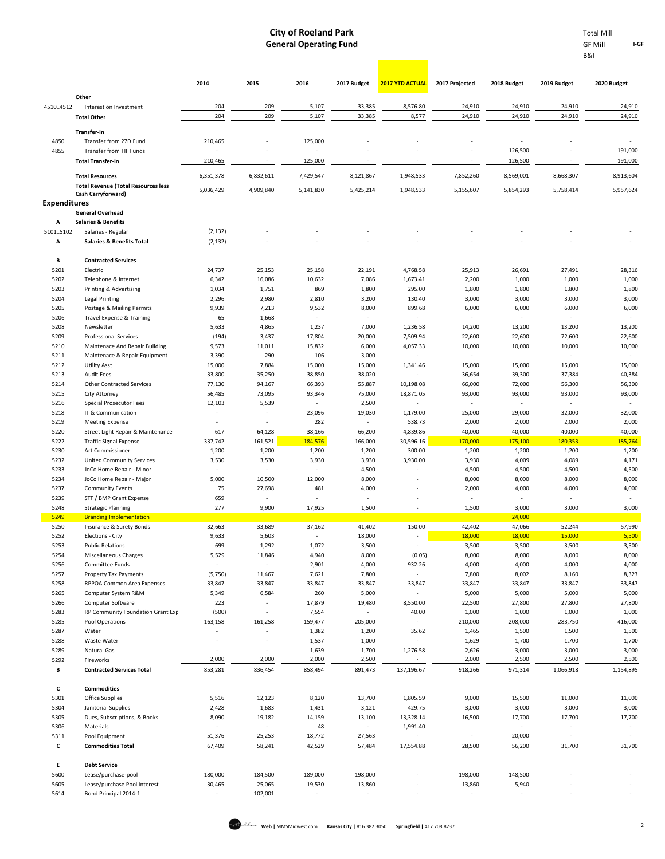**I-GF**

B&I

|                     |                                                                      | 2014                     | 2015                     | 2016                     | 2017 Budget                        | <b>2017 YTD ACTUAL</b>   | 2017 Projected           | 2018 Budget                        | 2019 Budget                   | 2020 Budget                        |
|---------------------|----------------------------------------------------------------------|--------------------------|--------------------------|--------------------------|------------------------------------|--------------------------|--------------------------|------------------------------------|-------------------------------|------------------------------------|
|                     | Other                                                                |                          |                          |                          |                                    |                          |                          |                                    |                               |                                    |
| 45104512            | Interest on Investment                                               | 204                      | 209                      | 5,107                    | 33,385                             | 8,576.80                 | 24,910                   | 24,910                             | 24,910                        | 24,910                             |
|                     | <b>Total Other</b><br>Transfer-In                                    | 204                      | 209                      | 5,107                    | 33,385                             | 8,577                    | 24,910                   | 24,910                             | 24,910                        | 24,910                             |
| 4850                | Transfer from 27D Fund                                               | 210,465                  |                          | 125,000                  |                                    |                          |                          |                                    |                               |                                    |
| 4855                | <b>Transfer from TIF Funds</b><br><b>Total Transfer-In</b>           | 210,465                  | $\sim$                   | 125,000                  |                                    |                          | $\overline{\phantom{a}}$ | 126,500<br>126,500                 |                               | 191,000<br>191,000                 |
|                     |                                                                      |                          |                          |                          |                                    |                          |                          |                                    |                               |                                    |
|                     | <b>Total Resources</b><br><b>Total Revenue (Total Resources less</b> | 6,351,378                | 6,832,611                | 7,429,547                | 8,121,867                          | 1,948,533                | 7,852,260                | 8,569,001                          | 8,668,307                     | 8,913,604                          |
|                     | Cash Carryforward)                                                   | 5,036,429                | 4,909,840                | 5,141,830                | 5,425,214                          | 1,948,533                | 5,155,607                | 5,854,293                          | 5,758,414                     | 5,957,624                          |
| <b>Expenditures</b> |                                                                      |                          |                          |                          |                                    |                          |                          |                                    |                               |                                    |
| А                   | <b>General Overhead</b><br><b>Salaries &amp; Benefits</b>            |                          |                          |                          |                                    |                          |                          |                                    |                               |                                    |
| 51015102            | Salaries - Regular                                                   | (2, 132)                 |                          |                          |                                    |                          |                          |                                    |                               |                                    |
| А                   | <b>Salaries &amp; Benefits Total</b>                                 | (2, 132)                 |                          |                          |                                    |                          |                          |                                    |                               |                                    |
| В                   | <b>Contracted Services</b>                                           |                          |                          |                          |                                    |                          |                          |                                    |                               |                                    |
| 5201                | Electric                                                             | 24,737                   | 25,153                   | 25,158                   | 22,191                             | 4,768.58                 | 25,913                   | 26,691                             | 27,491                        | 28,316                             |
| 5202                | Telephone & Internet                                                 | 6,342                    | 16,086                   | 10,632                   | 7,086                              | 1,673.41                 | 2,200                    | 1,000                              | 1,000                         | 1,000                              |
| 5203                | Printing & Advertising                                               | 1,034                    | 1,751                    | 869                      | 1,800                              | 295.00                   | 1,800                    | 1,800                              | 1,800                         | 1,800                              |
| 5204                | Legal Printing                                                       | 2,296                    | 2,980                    | 2,810                    | 3,200                              | 130.40                   | 3,000                    | 3,000                              | 3,000                         | 3,000                              |
| 5205                | Postage & Mailing Permits                                            | 9,939                    | 7,213                    | 9,532                    | 8,000                              | 899.68                   | 6,000                    | 6,000                              | 6,000                         | 6,000                              |
| 5206                | Travel Expense & Training                                            | 65                       | 1,668                    |                          |                                    | ÷                        |                          |                                    |                               |                                    |
| 5208                | Newsletter                                                           | 5,633                    | 4,865                    | 1,237                    | 7,000                              | 1,236.58                 | 14,200                   | 13,200                             | 13,200                        | 13,200                             |
| 5209                | <b>Professional Services</b>                                         | (194)                    | 3,437                    | 17,804                   | 20,000                             | 7,509.94                 | 22,600                   | 22,600                             | 72,600                        | 22,600                             |
| 5210                | Maintenace And Repair Building                                       | 9,573                    | 11,011                   | 15,832                   | 6,000                              | 4,057.33                 | 10,000                   | 10,000                             | 10,000                        | 10,000                             |
| 5211                | Maintenace & Repair Equipment                                        | 3,390                    | 290                      | 106                      | 3,000                              |                          |                          |                                    | $\overline{\phantom{a}}$      | $\overline{\phantom{a}}$           |
| 5212<br>5213        | <b>Utility Asst</b><br><b>Audit Fees</b>                             | 15,000<br>33,800         | 7,884<br>35,250          | 15,000<br>38,850         | 15,000<br>38,020                   | 1,341.46                 | 15,000<br>36,654         | 15,000<br>39,300                   | 15,000<br>37,384              | 15,000<br>40,384                   |
| 5214                | <b>Other Contracted Services</b>                                     | 77,130                   | 94,167                   | 66,393                   | 55,887                             | 10,198.08                | 66,000                   | 72,000                             | 56,300                        | 56,300                             |
| 5215                | City Attorney                                                        | 56,485                   | 73,095                   | 93,346                   | 75,000                             | 18,871.05                | 93,000                   | 93,000                             | 93,000                        | 93,000                             |
| 5216                | Special Prosecutor Fees                                              | 12,103                   | 5,539                    | $\overline{\phantom{a}}$ | 2,500                              | $\overline{\phantom{a}}$ | $\overline{\phantom{a}}$ | $\overline{\phantom{a}}$           | $\overline{\phantom{a}}$      | $\overline{\phantom{a}}$           |
| 5218                | IT & Communication                                                   |                          | $\sim$                   | 23,096                   | 19,030                             | 1,179.00                 | 25,000                   | 29,000                             | 32,000                        | 32,000                             |
| 5219                | <b>Meeting Expense</b>                                               |                          | $\sim$                   | 282                      | ÷                                  | 538.73                   | 2,000                    | 2,000                              | 2,000                         | 2,000                              |
| 5220                | Street Light Repair & Maintenance                                    | 617                      | 64,128                   | 38,166                   | 66,200                             | 4,839.86                 | 40,000                   | 40,000                             | 40,000                        | 40,000                             |
| 5222                | <b>Traffic Signal Expense</b>                                        | 337,742                  | 161,521                  | 184,576                  | 166,000                            | 30,596.16                | 170,000                  | 175,100                            | 180,353                       | 185,764                            |
| 5230                | Art Commissioner                                                     | 1,200                    | 1,200                    | 1,200                    | 1,200                              | 300.00                   | 1,200                    | 1,200                              | 1,200                         | 1,200                              |
| 5232                | <b>United Community Services</b>                                     | 3,530                    | 3,530                    | 3,930                    | 3,930                              | 3,930.00                 | 3,930                    | 4,009                              | 4,089                         | 4,171                              |
| 5233                | JoCo Home Repair - Minor                                             | $\overline{\phantom{a}}$ | $\sim$                   | $\overline{\phantom{a}}$ | 4,500                              |                          | 4,500                    | 4,500                              | 4,500                         | 4,500                              |
| 5234<br>5237        | JoCo Home Repair - Major                                             | 5,000<br>75              | 10,500                   | 12,000                   | 8,000                              |                          | 8,000<br>2,000           | 8,000<br>4,000                     | 8,000<br>4,000                | 8,000                              |
| 5239                | <b>Community Events</b><br>STF / BMP Grant Expense                   | 659                      | 27,698                   | 481                      | 4,000                              |                          |                          |                                    |                               | 4,000                              |
| 5248                | <b>Strategic Planning</b>                                            | 277                      | 9,900                    | 17,925                   | 1,500                              |                          | 1,500                    | 3,000                              | 3,000                         | 3,000                              |
| 5249                | <b>Branding Implementation</b>                                       |                          |                          |                          |                                    |                          |                          | 24,000                             |                               |                                    |
| 5250                | Insurance & Surety Bonds                                             | 32,663                   | 33,689                   | 37,162                   | 41,402                             | 150.00                   | 42,402                   | 47,066                             | 52,244                        | 57,990                             |
| 5252                | Elections - City                                                     | 9,633                    | 5,603                    | ÷.                       | 18,000                             |                          | 18,000                   | 18,000                             | 15,000                        | 5,500                              |
| 5253                | <b>Public Relations</b>                                              | 699                      | 1,292                    | 1,072                    | 3,500                              |                          | 3,500                    | 3,500                              | 3,500                         | 3,500                              |
| 5254                | <b>Miscellaneous Charges</b>                                         | 5,529                    | 11,846                   | 4,940                    | 8,000                              | (0.05)                   | 8,000                    | 8,000                              | 8,000                         | 8,000                              |
| 5256                | Committee Funds                                                      |                          | $\sim$                   | 2,901                    | 4,000                              | 932.26                   | 4,000                    | 4,000                              | 4,000                         | 4,000                              |
| 5257                | Property Tax Payments                                                | (5,750)                  | 11,467                   | 7,621                    | 7,800                              |                          | 7,800                    | 8,002                              | 8,160                         | 8,323                              |
| 5258<br>5265        | RPPOA Common Area Expenses<br>Computer System R&M                    | 33,847<br>5,349          | 33,847<br>6,584          | 33,847<br>260            | 33,847<br>5,000                    | 33,847                   | 33,847<br>5,000          | 33,847                             | 33,847<br>5,000               | 33,847<br>5,000                    |
| 5266                | Computer Software                                                    | 223                      | $\sim$                   | 17,879                   | 19,480                             | 8,550.00                 | 22,500                   | 5,000<br>27,800                    | 27,800                        | 27,800                             |
| 5283                | RP Community Foundation Grant Exp                                    | (500)                    | $\overline{\phantom{a}}$ | 7,554                    | $\overline{\phantom{a}}$           | 40.00                    | 1,000                    | 1,000                              | 1,000                         | 1,000                              |
| 5285                | Pool Operations                                                      | 163,158                  | 161,258                  | 159,477                  | 205,000                            | $\sim$                   | 210,000                  | 208,000                            | 283,750                       | 416,000                            |
| 5287                | Water                                                                | $\overline{\phantom{a}}$ | $\overline{\phantom{a}}$ | 1,382                    | 1,200                              | 35.62                    | 1,465                    | 1,500                              | 1,500                         | 1,500                              |
| 5288                | Waste Water                                                          |                          | $\overline{\phantom{a}}$ | 1,537                    | 1,000                              |                          | 1,629                    | 1,700                              | 1,700                         | 1,700                              |
| 5289                | Natural Gas                                                          |                          | $\overline{\phantom{a}}$ | 1,639                    | 1,700                              | 1,276.58                 | 2,626                    | 3,000                              | 3,000                         | 3,000                              |
| 5292                | Fireworks                                                            | 2,000                    | 2,000                    | 2,000                    | 2,500                              |                          | 2,000                    | 2,500                              | 2,500                         | 2,500                              |
| в                   | <b>Contracted Services Total</b>                                     | 853,281                  | 836,454                  | 858,494                  | 891,473                            | 137,196.67               | 918,266                  | 971,314                            | 1,066,918                     | 1,154,895                          |
| c                   | <b>Commodities</b>                                                   |                          |                          |                          |                                    |                          |                          |                                    |                               |                                    |
| 5301                | <b>Office Supplies</b>                                               | 5,516                    | 12,123                   | 8,120                    | 13,700                             | 1,805.59                 | 9,000                    | 15,500                             | 11,000                        | 11,000                             |
| 5304                | Janitorial Supplies                                                  | 2,428                    | 1,683                    | 1,431                    | 3,121                              | 429.75                   | 3,000                    | 3,000                              | 3,000                         | 3,000                              |
| 5305                | Dues, Subscriptions, & Books                                         | 8,090                    | 19,182                   | 14,159                   | 13,100                             | 13,328.14                | 16,500                   | 17,700                             | 17,700                        | 17,700                             |
| 5306<br>5311        | Materials<br>Pool Equipment                                          | 51,376                   | $\sim$<br>25,253         | 48<br>18,772             | $\overline{\phantom{a}}$<br>27,563 | 1,991.40                 | $\overline{\phantom{a}}$ | $\overline{\phantom{a}}$<br>20,000 | ٠<br>$\overline{\phantom{a}}$ | $\overline{\phantom{a}}$<br>$\sim$ |
| c                   | <b>Commodities Total</b>                                             | 67,409                   | 58,241                   | 42,529                   | 57,484                             | 17,554.88                | 28,500                   | 56,200                             | 31,700                        | 31,700                             |
|                     |                                                                      |                          |                          |                          |                                    |                          |                          |                                    |                               |                                    |
| Ε<br>5600           | <b>Debt Service</b><br>Lease/purchase-pool                           | 180,000                  | 184,500                  | 189,000                  | 198,000                            |                          | 198,000                  | 148,500                            |                               |                                    |
| 5605                | Lease/purchase Pool Interest                                         | 30,465                   | 25,065                   | 19,530                   | 13,860                             |                          | 13,860                   | 5,940                              |                               |                                    |
| 5614                | Bond Principal 2014-1                                                | $\overline{\phantom{a}}$ | 102,001                  | ÷                        | $\overline{\phantom{a}}$           |                          | $\overline{\phantom{a}}$ |                                    |                               |                                    |
|                     |                                                                      |                          |                          |                          |                                    |                          |                          |                                    |                               |                                    |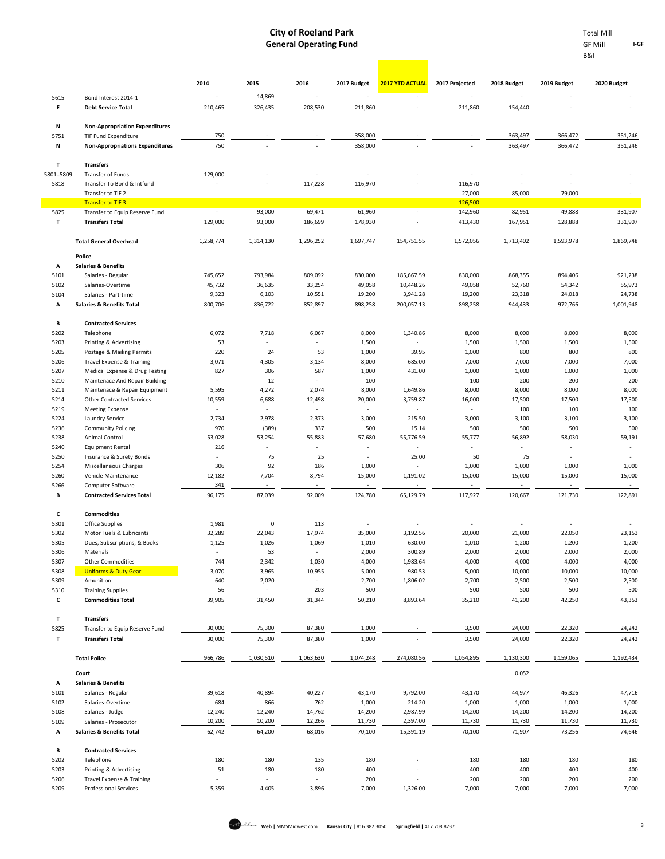B&I

**I-GF**

|              |                                                              | 2014                               | 2015             | 2016                              | 2017 Budget              | <b>2017 YTD ACTUAL</b>               | 2017 Projected    | 2018 Budget       | 2019 Budget              | 2020 Budget         |
|--------------|--------------------------------------------------------------|------------------------------------|------------------|-----------------------------------|--------------------------|--------------------------------------|-------------------|-------------------|--------------------------|---------------------|
| 5615         | Bond Interest 2014-1                                         |                                    | 14,869           |                                   |                          |                                      |                   |                   |                          |                     |
| E.           | <b>Debt Service Total</b>                                    | 210,465                            | 326,435          | 208,530                           | 211,860                  |                                      | 211,860           | 154,440           |                          |                     |
| N            | <b>Non-Appropriation Expenditures</b>                        |                                    |                  |                                   |                          |                                      |                   |                   |                          |                     |
| 5751         | TIF Fund Expenditure                                         | 750                                |                  |                                   | 358,000                  |                                      |                   | 363,497           | 366,472                  | 351,246             |
| N            | <b>Non-Appropriations Expenditures</b>                       | 750                                |                  |                                   | 358,000                  |                                      |                   | 363,497           | 366,472                  | 351,246             |
| т            | <b>Transfers</b>                                             |                                    |                  |                                   |                          |                                      |                   |                   |                          |                     |
| 58015809     | Transfer of Funds                                            | 129,000                            |                  |                                   |                          |                                      |                   |                   |                          |                     |
| 5818         | Transfer To Bond & Intfund<br>Transfer to TIF 2              |                                    |                  | 117,228                           | 116,970                  |                                      | 116,970<br>27,000 | 85,000            | 79,000                   |                     |
|              | <b>Transfer to TIF 3</b>                                     |                                    |                  |                                   |                          |                                      | 126,500           |                   |                          |                     |
| 5825         | Transfer to Equip Reserve Fund                               | $\overline{\phantom{a}}$           | 93,000           | 69,471                            | 61,960                   | $\sim$                               | 142,960           | 82,951            | 49,888                   | 331,907             |
| T.           | <b>Transfers Total</b>                                       | 129,000                            | 93,000           | 186,699                           | 178,930                  |                                      | 413,430           | 167,951           | 128,888                  | 331,907             |
|              | <b>Total General Overhead</b>                                | 1,258,774                          | 1,314,130        | 1,296,252                         | 1,697,747                | 154,751.55                           | 1,572,056         | 1,713,402         | 1,593,978                | 1,869,748           |
|              | Police                                                       |                                    |                  |                                   |                          |                                      |                   |                   |                          |                     |
| Α            | <b>Salaries &amp; Benefits</b>                               |                                    |                  |                                   |                          |                                      |                   |                   |                          |                     |
| 5101         | Salaries - Regular                                           | 745,652                            | 793,984          | 809,092                           | 830,000                  | 185,667.59                           | 830,000           | 868,355           | 894,406                  | 921,238             |
| 5102         | Salaries-Overtime                                            | 45,732                             | 36,635           | 33,254                            | 49,058                   | 10,448.26                            | 49,058            | 52,760            | 54,342                   | 55,973              |
| 5104<br>А    | Salaries - Part-time<br><b>Salaries &amp; Benefits Total</b> | 9,323<br>800,706                   | 6,103<br>836,722 | 10,551<br>852,897                 | 19,200<br>898,258        | 3,941.28<br>200,057.13               | 19,200<br>898,258 | 23,318<br>944,433 | 24,018<br>972,766        | 24,738<br>1,001,948 |
|              |                                                              |                                    |                  |                                   |                          |                                      |                   |                   |                          |                     |
| В            | <b>Contracted Services</b>                                   |                                    |                  |                                   |                          |                                      |                   |                   |                          |                     |
| 5202<br>5203 | Telephone<br>Printing & Advertising                          | 6,072<br>53                        | 7,718<br>×.      | 6,067                             | 8,000<br>1,500           | 1,340.86<br>٠                        | 8,000<br>1,500    | 8,000<br>1,500    | 8,000<br>1,500           | 8,000<br>1,500      |
| 5205         | Postage & Mailing Permits                                    | 220                                | 24               | 53                                | 1,000                    | 39.95                                | 1,000             | 800               | 800                      | 800                 |
| 5206         | <b>Travel Expense &amp; Training</b>                         | 3,071                              | 4,305            | 3,134                             | 8,000                    | 685.00                               | 7,000             | 7,000             | 7,000                    | 7,000               |
| 5207         | Medical Expense & Drug Testing                               | 827                                | 306              | 587                               | 1,000                    | 431.00                               | 1,000             | 1,000             | 1,000                    | 1,000               |
| 5210         | Maintenace And Repair Building                               | $\overline{\phantom{a}}$           | 12               | $\overline{\phantom{a}}$          | 100                      | $\sim$                               | 100               | 200               | 200                      | 200                 |
| 5211         | Maintenace & Repair Equipment                                | 5,595                              | 4,272            | 2,074                             | 8,000                    | 1,649.86                             | 8,000             | 8,000             | 8,000                    | 8,000               |
| 5214<br>5219 | <b>Other Contracted Services</b>                             | 10,559<br>$\overline{\phantom{a}}$ | 6,688<br>×.      | 12,498<br>$\overline{a}$          | 20,000                   | 3,759.87<br>$\sim$                   | 16,000<br>÷       | 17,500<br>100     | 17,500<br>100            | 17,500<br>100       |
| 5224         | <b>Meeting Expense</b><br>Laundry Service                    | 2,734                              | 2,978            | 2,373                             | 3,000                    | 215.50                               | 3,000             | 3,100             | 3,100                    | 3,100               |
| 5236         | <b>Community Policing</b>                                    | 970                                | (389)            | 337                               | 500                      | 15.14                                | 500               | 500               | 500                      | 500                 |
| 5238         | Animal Control                                               | 53,028                             | 53,254           | 55,883                            | 57,680                   | 55,776.59                            | 55,777            | 56,892            | 58,030                   | 59,19:              |
| 5240         | <b>Equipment Rental</b>                                      | 216                                |                  |                                   |                          | $\overline{\phantom{a}}$             |                   |                   |                          |                     |
| 5250         | Insurance & Surety Bonds                                     | ٠                                  | 75               | 25                                | $\overline{\phantom{a}}$ | 25.00                                | 50                | 75                | $\overline{\phantom{a}}$ |                     |
| 5254<br>5260 | <b>Miscellaneous Charges</b><br>Vehicle Maintenance          | 306<br>12,182                      | 92<br>7,704      | 186<br>8,794                      | 1,000<br>15,000          | $\overline{\phantom{a}}$<br>1,191.02 | 1,000<br>15,000   | 1,000<br>15,000   | 1,000<br>15,000          | 1,000<br>15,000     |
| 5266         | Computer Software                                            | 341                                |                  |                                   |                          |                                      |                   |                   |                          |                     |
| В            | <b>Contracted Services Total</b>                             | 96,175                             | 87,039           | 92,009                            | 124,780                  | 65,129.79                            | 117,927           | 120,667           | 121,730                  | 122,89:             |
| c            | <b>Commodities</b>                                           |                                    |                  |                                   |                          |                                      |                   |                   |                          |                     |
| 5301         | Office Supplies                                              | 1,981                              | 0                | 113                               |                          |                                      |                   |                   |                          |                     |
| 5302         | Motor Fuels & Lubricants                                     | 32,289                             | 22,043           | 17,974                            | 35,000                   | 3,192.56                             | 20,000            | 21,000            | 22,050                   | 23,153              |
| 5305         | Dues, Subscriptions, & Books                                 | 1,125                              | 1,026            | 1,069                             | 1,010                    | 630.00                               | 1,010             | 1,200             | 1,200                    | 1,200               |
| 5306<br>5307 | Materials<br><b>Other Commodities</b>                        | $\overline{a}$<br>744              | 53<br>2,342      | $\overline{\phantom{a}}$<br>1,030 | 2,000<br>4,000           | 300.89<br>1,983.64                   | 2,000<br>4,000    | 2,000<br>4,000    | 2,000<br>4,000           | 2,000<br>4,000      |
| 5308         | <b>Uniforms &amp; Duty Gear</b>                              | 3,070                              | 3,965            | 10,955                            | 5,000                    | 980.53                               | 5,000             | 10,000            | 10,000                   | 10,000              |
| 5309         | Amunition                                                    | 640                                | 2,020            | $\overline{\phantom{a}}$          | 2,700                    | 1,806.02                             | 2,700             | 2,500             | 2,500                    | 2,500               |
| 5310         | <b>Training Supplies</b>                                     | 56                                 | $\sim$           | 203                               | 500                      | $\overline{\phantom{a}}$             | 500               | 500               | 500                      | 500                 |
| c            | <b>Commodities Total</b>                                     | 39,905                             | 31,450           | 31,344                            | 50,210                   | 8,893.64                             | 35,210            | 41,200            | 42,250                   | 43,353              |
| T            | <b>Transfers</b>                                             |                                    |                  |                                   |                          |                                      |                   |                   |                          |                     |
| 5825         | Transfer to Equip Reserve Fund                               | 30,000                             | 75,300           | 87,380                            | 1,000                    |                                      | 3,500             | 24,000            | 22,320                   | 24,242              |
| T            | <b>Transfers Total</b>                                       | 30,000                             | 75,300           | 87,380                            | 1,000                    |                                      | 3,500             | 24,000            | 22,320                   | 24,242              |
|              | <b>Total Police</b>                                          | 966,786                            | 1,030,510        | 1,063,630                         | 1,074,248                | 274,080.56                           | 1,054,895         | 1,130,300         | 1,159,065                | 1,192,434           |
|              | Court                                                        |                                    |                  |                                   |                          |                                      |                   | 0.052             |                          |                     |
| А            | <b>Salaries &amp; Benefits</b>                               |                                    |                  |                                   |                          |                                      |                   |                   |                          |                     |
| 5101         | Salaries - Regular                                           | 39,618                             | 40,894           | 40,227                            | 43,170                   | 9,792.00                             | 43,170            | 44,977            | 46,326                   | 47,716              |
| 5102<br>5108 | Salaries-Overtime<br>Salaries - Judge                        | 684<br>12,240                      | 866<br>12,240    | 762<br>14,762                     | 1,000<br>14,200          | 214.20<br>2,987.99                   | 1,000<br>14,200   | 1,000<br>14,200   | 1,000<br>14,200          | 1,000<br>14,200     |
| 5109         | Salaries - Prosecutor                                        | 10,200                             | 10,200           | 12,266                            | 11,730                   | 2,397.00                             | 11,730            | 11,730            | 11,730                   | 11,730              |
| А            | <b>Salaries &amp; Benefits Total</b>                         | 62,742                             | 64,200           | 68,016                            | 70,100                   | 15,391.19                            | 70,100            | 71,907            | 73,256                   | 74,646              |
| В            | <b>Contracted Services</b>                                   |                                    |                  |                                   |                          |                                      |                   |                   |                          |                     |
| 5202         | Telephone                                                    | 180                                | 180              | 135                               | 180                      |                                      | 180               | 180               | 180                      | 180                 |
| 5203         | Printing & Advertising                                       | 51                                 | 180              | 180                               | 400                      |                                      | 400               | 400               | 400                      | 400                 |
| 5206         | <b>Travel Expense &amp; Training</b>                         |                                    |                  |                                   | 200                      |                                      | 200               | 200               | 200                      | 200                 |



5209 Professional Services 5,359 4,405 3,896 7,000 1,326.00 7,000 7,000 7,000 7,000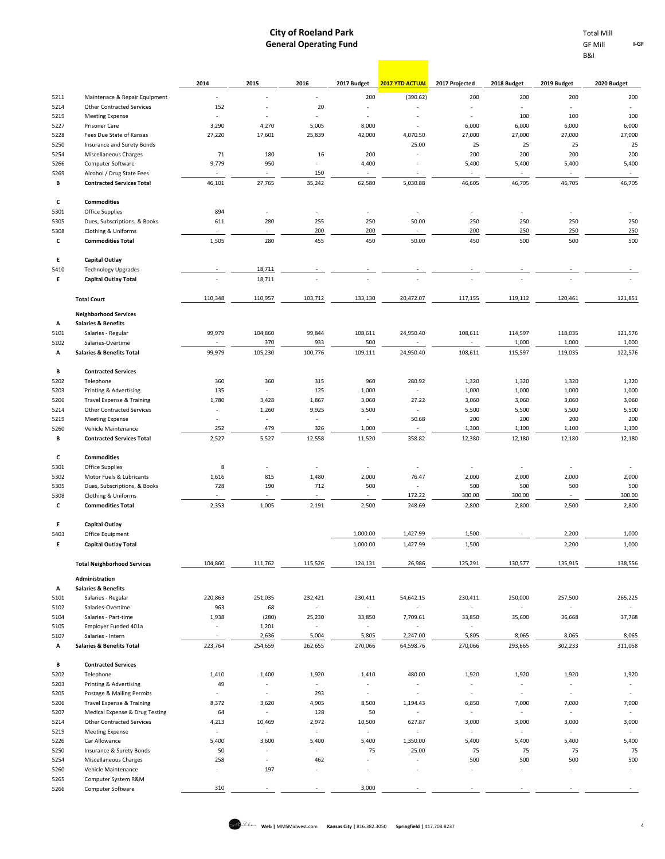**Contract** 

|                | GF Mill |  |
|----------------|---------|--|
| <b>B&amp;I</b> |         |  |

|              |                                                            | 2014                                                 | 2015                     | 2016                              | 2017 Budget                       | <b>2017 YTD ACTUAL</b>            | 2017 Projected           | 2018 Budget              | 2019 Budget              | 2020 Budget              |
|--------------|------------------------------------------------------------|------------------------------------------------------|--------------------------|-----------------------------------|-----------------------------------|-----------------------------------|--------------------------|--------------------------|--------------------------|--------------------------|
| 5211         | Maintenace & Repair Equipment                              | ÷,                                                   |                          | $\overline{\phantom{a}}$          | 200                               | (390.62)                          | 200                      | 200                      | 200                      | 200                      |
| 5214         | <b>Other Contracted Services</b>                           | 152                                                  |                          | 20                                | ä,                                |                                   | L.                       | $\overline{a}$           | $\overline{a}$           |                          |
| 5219         | <b>Meeting Expense</b>                                     | $\overline{\phantom{a}}$                             | ×,                       | $\overline{\phantom{a}}$          | ٠                                 | $\overline{a}$                    | $\overline{\phantom{a}}$ | 100                      | 100                      | 100                      |
| 5227<br>5228 | Prisoner Care<br>Fees Due State of Kansas                  | 3,290<br>27,220                                      | 4,270<br>17,601          | 5,005<br>25,839                   | 8,000<br>42,000                   | 4,070.50                          | 6,000<br>27,000          | 6,000<br>27,000          | 6,000<br>27,000          | 6,000<br>27,000          |
| 5250         | <b>Insurance and Surety Bonds</b>                          |                                                      |                          |                                   |                                   | 25.00                             | 25                       | 25                       | 25                       | 25                       |
| 5254         | Miscellaneous Charges                                      | 71                                                   | 180                      | 16                                | 200                               | $\sim$                            | 200                      | 200                      | 200                      | 200                      |
| 5266         | Computer Software                                          | 9,779                                                | 950                      |                                   | 4,400                             |                                   | 5,400                    | 5,400                    | 5,400                    | 5,400                    |
| 5269         | Alcohol / Drug State Fees                                  |                                                      |                          | 150                               | ÷,                                |                                   | $\overline{\phantom{a}}$ |                          |                          | $\overline{\phantom{a}}$ |
| В            | <b>Contracted Services Total</b>                           | 46,101                                               | 27,765                   | 35,242                            | 62,580                            | 5,030.88                          | 46,605                   | 46,705                   | 46,705                   | 46,705                   |
| c            | <b>Commodities</b>                                         |                                                      |                          |                                   |                                   |                                   |                          |                          |                          |                          |
| 5301<br>5305 | <b>Office Supplies</b><br>Dues, Subscriptions, & Books     | 894<br>611                                           | i,<br>280                | 255                               | ä,<br>250                         | $\overline{\phantom{a}}$<br>50.00 | 250                      | 250                      | $\overline{a}$<br>250    | 250                      |
| 5308         | Clothing & Uniforms                                        |                                                      |                          | 200                               | 200                               |                                   | 200                      | 250                      | 250                      | 250                      |
| c            | <b>Commodities Total</b>                                   | 1,505                                                | 280                      | 455                               | 450                               | 50.00                             | 450                      | 500                      | 500                      | 500                      |
| Ε            | <b>Capital Outlay</b>                                      |                                                      |                          |                                   |                                   |                                   |                          |                          |                          |                          |
| 5410         | <b>Technology Upgrades</b>                                 |                                                      | 18,711                   |                                   |                                   |                                   |                          |                          |                          |                          |
| Е            | <b>Capital Outlay Total</b>                                |                                                      | 18,711                   |                                   |                                   |                                   |                          |                          |                          |                          |
|              | <b>Total Court</b>                                         | 110,348                                              | 110,957                  | 103,712                           | 133,130                           | 20,472.07                         | 117,155                  | 119,112                  | 120,461                  | 121,851                  |
|              | <b>Neighborhood Services</b>                               |                                                      |                          |                                   |                                   |                                   |                          |                          |                          |                          |
| Α<br>5101    | <b>Salaries &amp; Benefits</b><br>Salaries - Regular       | 99,979                                               | 104,860                  | 99,844                            | 108,611                           | 24,950.40                         | 108,611                  | 114,597                  | 118,035                  | 121,576                  |
| 5102         | Salaries-Overtime                                          |                                                      | 370                      | 933                               | 500                               |                                   |                          | 1,000                    | 1,000                    | 1,000                    |
| А            | <b>Salaries &amp; Benefits Total</b>                       | 99,979                                               | 105,230                  | 100,776                           | 109,111                           | 24,950.40                         | 108,611                  | 115,597                  | 119,035                  | 122,576                  |
| в            | <b>Contracted Services</b>                                 |                                                      |                          |                                   |                                   |                                   |                          |                          |                          |                          |
| 5202         | Telephone                                                  | 360                                                  | 360                      | 315                               | 960                               | 280.92                            | 1,320                    | 1,320                    | 1,320                    | 1,320                    |
| 5203         | Printing & Advertising                                     | 135                                                  | ä,                       | 125                               | 1,000                             | $\overline{\phantom{a}}$          | 1,000                    | 1,000                    | 1,000                    | 1,000                    |
| 5206         | Travel Expense & Training                                  | 1,780                                                | 3,428                    | 1,867                             | 3,060                             | 27.22                             | 3,060                    | 3,060                    | 3,060                    | 3,060                    |
| 5214<br>5219 | <b>Other Contracted Services</b><br><b>Meeting Expense</b> | $\overline{\phantom{a}}$<br>$\overline{\phantom{a}}$ | 1,260<br>×.              | 9,925<br>٠                        | 5,500<br>$\overline{\phantom{a}}$ | $\sim$<br>50.68                   | 5,500<br>200             | 5,500<br>200             | 5,500<br>200             | 5,500<br>200             |
| 5260         | Vehicle Maintenance                                        | 252                                                  | 479                      | 326                               | 1,000                             | $\overline{\phantom{a}}$          | 1,300                    | 1,100                    | 1,100                    | 1,100                    |
| В            | <b>Contracted Services Total</b>                           | 2,527                                                | 5,527                    | 12,558                            | 11,520                            | 358.82                            | 12,380                   | 12,180                   | 12,180                   | 12,180                   |
| c            | <b>Commodities</b>                                         |                                                      |                          |                                   |                                   |                                   |                          |                          |                          |                          |
| 5301         | Office Supplies                                            | 8                                                    | ÷,                       | $\overline{\phantom{a}}$          | ÷                                 | $\overline{\phantom{a}}$          | $\blacksquare$           | $\overline{a}$           | ä,                       |                          |
| 5302         | Motor Fuels & Lubricants                                   | 1,616                                                | 815                      | 1,480                             | 2,000                             | 76.47                             | 2,000                    | 2,000                    | 2,000                    | 2,000                    |
| 5305         | Dues, Subscriptions, & Books                               | 728<br>$\overline{\phantom{a}}$                      | 190<br>Ĭ.                | 712                               | 500                               | 172.22                            | 500<br>300.00            | 500<br>300.00            | 500                      | 500<br>300.00            |
| 5308<br>c    | Clothing & Uniforms<br><b>Commodities Total</b>            | 2,353                                                | 1,005                    | 2,191                             | 2,500                             | 248.69                            | 2,800                    | 2,800                    | 2,500                    | 2,800                    |
| Ε            | <b>Capital Outlay</b>                                      |                                                      |                          |                                   |                                   |                                   |                          |                          |                          |                          |
| 5403         | Office Equipment                                           |                                                      |                          |                                   | 1,000.00                          | 1,427.99                          | 1,500                    |                          | 2,200                    | 1,000                    |
| Ε            | <b>Capital Outlay Total</b>                                |                                                      |                          |                                   | 1,000.00                          | 1,427.99                          | 1,500                    |                          | 2,200                    | 1,000                    |
|              | <b>Total Neighborhood Services</b>                         | 104,860                                              | 111,762                  | 115,526                           | 124,131                           | 26,986                            | 125,291                  | 130,577                  | 135,915                  | 138,556                  |
|              | Administration                                             |                                                      |                          |                                   |                                   |                                   |                          |                          |                          |                          |
| Α<br>5101    | <b>Salaries &amp; Benefits</b><br>Salaries - Regular       | 220,863                                              | 251,035                  | 232,421                           | 230,411                           | 54,642.15                         | 230,411                  | 250,000                  | 257,500                  | 265,225                  |
| 5102         | Salaries-Overtime                                          | 963                                                  | 68                       | $\sim$                            | $\sim$                            | $\overline{\phantom{a}}$          | ٠                        | $\overline{\phantom{a}}$ | $\sim$                   |                          |
| 5104         | Salaries - Part-time                                       | 1,938                                                | (280)                    | 25,230                            | 33,850                            | 7,709.61                          | 33,850                   | 35,600                   | 36,668                   | 37,768                   |
| 5105         | Employer Funded 401a                                       | $\overline{\phantom{a}}$                             | 1,201                    | $\overline{\phantom{a}}$          | $\sim$                            | $\overline{\phantom{a}}$          | i,                       |                          |                          |                          |
| 5107         | Salaries - Intern                                          | $\overline{\phantom{a}}$                             | 2,636                    | 5,004                             | 5,805                             | 2,247.00                          | 5,805                    | 8,065                    | 8,065                    | 8,065                    |
| А            | <b>Salaries &amp; Benefits Total</b>                       | 223,764                                              | 254,659                  | 262,655                           | 270,066                           | 64,598.76                         | 270,066                  | 293,665                  | 302,233                  | 311,058                  |
| в<br>5202    | <b>Contracted Services</b><br>Telephone                    | 1,410                                                | 1,400                    | 1,920                             | 1,410                             | 480.00                            | 1,920                    | 1,920                    | 1,920                    | 1,920                    |
| 5203         | Printing & Advertising                                     | 49                                                   | ÷.                       | $\mathcal{L}$                     | $\sim$                            | $\overline{\phantom{a}}$          | $\overline{\phantom{a}}$ | $\overline{\phantom{a}}$ | $\overline{\phantom{a}}$ | $\overline{\phantom{a}}$ |
| 5205         | Postage & Mailing Permits                                  | $\overline{\phantom{a}}$                             | $\overline{\phantom{a}}$ | 293                               | $\overline{\phantom{a}}$          | $\overline{\phantom{a}}$          | $\overline{\phantom{a}}$ | ÷,                       | ٠                        |                          |
| 5206         | Travel Expense & Training                                  | 8,372                                                | 3,620                    | 4,905                             | 8,500                             | 1,194.43                          | 6,850                    | 7,000                    | 7,000                    | 7,000                    |
| 5207         | Medical Expense & Drug Testing                             | 64                                                   | $\overline{\phantom{a}}$ | 128                               | 50                                | $\sim$                            | $\overline{\phantom{a}}$ | $\sim$                   | $\overline{\phantom{a}}$ | ×.                       |
| 5214         | <b>Other Contracted Services</b>                           | 4,213                                                | 10,469                   | 2,972                             | 10,500                            | 627.87                            | 3,000                    | 3,000                    | 3,000                    | 3,000                    |
| 5219         | <b>Meeting Expense</b>                                     | $\overline{\phantom{a}}$                             | $\overline{\phantom{a}}$ | $\sim$                            | ÷,                                | ×.                                | $\overline{\phantom{a}}$ | $\overline{\phantom{a}}$ | $\sim$                   | $\sim$                   |
| 5226<br>5250 | Car Allowance<br>Insurance & Surety Bonds                  | 5,400<br>50                                          | 3,600<br>ä,              | 5,400<br>$\overline{\phantom{a}}$ | 5,400<br>75                       | 1,350.00<br>25.00                 | 5,400<br>75              | 5,400<br>75              | 5,400<br>75              | 5,400<br>75              |
| 5254         | Miscellaneous Charges                                      | 258                                                  | ÷.                       | 462                               | $\overline{\phantom{a}}$          | $\overline{\phantom{a}}$          | 500                      | 500                      | 500                      | 500                      |
| 5260         | Vehicle Maintenance                                        | $\overline{\phantom{a}}$                             | 197                      | $\overline{\phantom{a}}$          | ÷                                 | $\overline{\phantom{a}}$          | $\overline{a}$           | $\overline{a}$           | $\overline{\phantom{0}}$ |                          |
| 5265         | Computer System R&M                                        |                                                      |                          |                                   |                                   |                                   |                          |                          |                          |                          |
| 5266         | Computer Software                                          | 310                                                  |                          |                                   | 3,000                             |                                   |                          |                          |                          |                          |

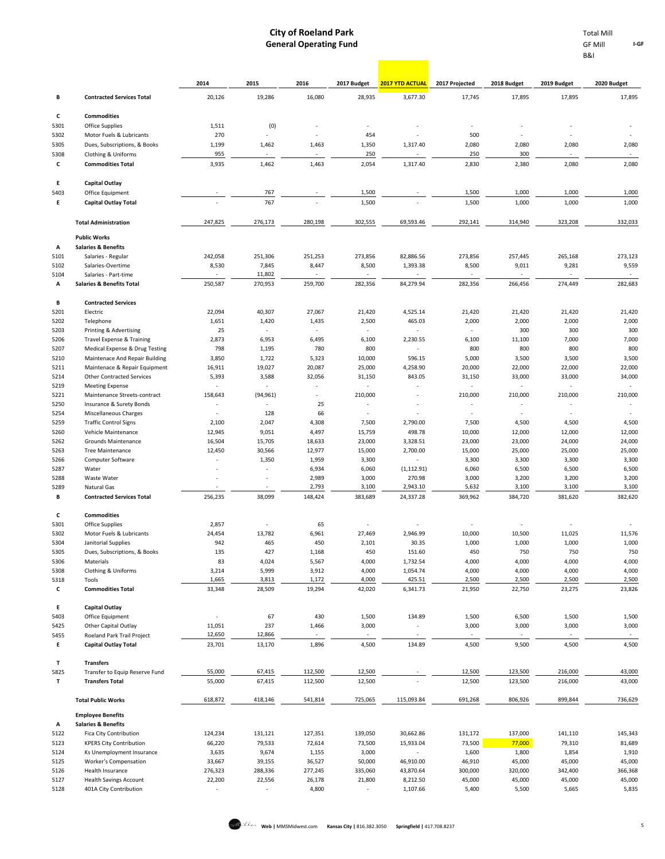|              |                                                                  | 2014                     | 2015                     | 2016                     | 2017 Budget              | <b>2017 YTD ACTUAL</b> | 2017 Projected                    | 2018 Budget                                           | 2019 Budget    | 2020 Budget              |
|--------------|------------------------------------------------------------------|--------------------------|--------------------------|--------------------------|--------------------------|------------------------|-----------------------------------|-------------------------------------------------------|----------------|--------------------------|
| В            | <b>Contracted Services Total</b>                                 | 20,126                   | 19,286                   | 16,080                   | 28,935                   | 3,677.30               | 17,745                            | 17,895                                                | 17,895         | 17,895                   |
| c            |                                                                  |                          |                          |                          |                          |                        |                                   |                                                       |                |                          |
| 5301         | <b>Commodities</b><br>Office Supplies                            | 1,511                    | (0)                      |                          | ٠                        |                        |                                   |                                                       |                |                          |
| 5302         | Motor Fuels & Lubricants                                         | 270                      |                          |                          | 454                      |                        | 500                               |                                                       |                |                          |
| 5305         | Dues, Subscriptions, & Books                                     | 1,199                    | 1,462                    | 1,463                    | 1,350                    | 1,317.40               | 2,080                             | 2,080                                                 | 2,080          | 2,080                    |
| 5308         | Clothing & Uniforms                                              | 955                      | ä,                       |                          | 250                      |                        | 250                               | 300                                                   |                | $\overline{\phantom{a}}$ |
| С            | <b>Commodities Total</b>                                         | 3,935                    | 1,462                    | 1,463                    | 2,054                    | 1,317.40               | 2,830                             | 2,380                                                 | 2,080          | 2,080                    |
| Е            | <b>Capital Outlay</b>                                            |                          |                          |                          |                          |                        |                                   |                                                       |                |                          |
| 5403         | Office Equipment                                                 |                          | 767                      |                          | 1,500                    |                        | 1,500                             | 1,000                                                 | 1,000          | 1,000                    |
| Ε            | <b>Capital Outlay Total</b>                                      |                          | 767                      |                          | 1,500                    |                        | 1,500                             | 1,000                                                 | 1,000          | 1,000                    |
|              | <b>Total Administration</b>                                      | 247,825                  | 276,173                  | 280,198                  | 302,555                  | 69,593.46              | 292,141                           | 314,940                                               | 323,208        | 332,033                  |
|              | <b>Public Works</b>                                              |                          |                          |                          |                          |                        |                                   |                                                       |                |                          |
| А            | <b>Salaries &amp; Benefits</b>                                   |                          |                          |                          |                          |                        |                                   |                                                       |                |                          |
| 5101         | Salaries - Regular                                               | 242,058                  | 251,306                  | 251,253                  | 273,856                  | 82,886.56              | 273,856                           | 257,445                                               | 265,168        | 273,123                  |
| 5102         | Salaries-Overtime                                                | 8,530                    | 7,845                    | 8,447                    | 8,500                    | 1,393.38               | 8,500                             | 9,011                                                 | 9,281          | 9,559                    |
| 5104         | Salaries - Part-time                                             |                          | 11,802                   | $\overline{\phantom{a}}$ | ×.                       |                        | $\overline{\phantom{a}}$          | ÷,                                                    |                | $\sim$                   |
| А            | <b>Salaries &amp; Benefits Total</b>                             | 250,587                  | 270,953                  | 259,700                  | 282,356                  | 84,279.94              | 282,356                           | 266,456                                               | 274,449        | 282,683                  |
| В            | <b>Contracted Services</b>                                       |                          |                          |                          |                          |                        |                                   |                                                       |                |                          |
| 5201         | Electric                                                         | 22,094                   | 40,307                   | 27,067                   | 21,420                   | 4,525.14               | 21,420                            | 21,420                                                | 21,420         | 21,420                   |
| 5202         | Telephone                                                        | 1,651                    | 1,420                    | 1,435                    | 2,500                    | 465.03                 | 2,000                             | 2,000                                                 | 2,000          | 2,000                    |
| 5203         | Printing & Advertising                                           | 25                       | ÷.                       |                          | ×.                       |                        | ÷,                                | 300                                                   | 300            | 300                      |
| 5206         | Travel Expense & Training                                        |                          | 2,873<br>6,953<br>6,495  |                          | 6,100                    | 2,230.55               | 6,100                             | 11,100                                                | 7,000<br>800   | 7,000                    |
| 5207<br>5210 | Medical Expense & Drug Testing<br>Maintenace And Repair Building | 798<br>3,850             | 1,195<br>1,722           | 780<br>5,323             | 800<br>10,000            | 596.15                 |                                   | 800<br>800                                            |                | 800<br>3,500             |
| 5211         | Maintenace & Repair Equipment                                    | 16,911                   | 19,027                   | 20,087                   | 25,000                   | 4,258.90               |                                   | 5,000<br>3,500<br>3,500<br>20,000<br>22,000<br>22,000 |                | 22,000                   |
| 5214         | <b>Other Contracted Services</b>                                 | 5,393                    | 3,588                    | 32,056                   | 31,150                   | 843.05                 |                                   | 31,150<br>33,000<br>33,000                            |                | 34,000                   |
| 5219         | <b>Meeting Expense</b>                                           | $\overline{\phantom{a}}$ | ×,                       |                          | ×.                       |                        | $\frac{1}{2}$<br>$\overline{a}$   |                                                       | ٠              |                          |
| 5221         | Maintenance Streets-contract                                     | 158,643                  | (94, 961)                |                          | 210,000                  |                        | 210,000<br>210,000                |                                                       | 210,000        | 210,000                  |
| 5250         | Insurance & Surety Bonds                                         | ٠                        | ٠                        | 25                       | ٠                        |                        | $\overline{a}$                    | $\overline{\phantom{a}}$                              |                | $\overline{\phantom{a}}$ |
| 5254         | Miscellaneous Charges                                            | ٠                        | 128                      | 66                       | $\sim$                   |                        | ×,                                | $\overline{\phantom{a}}$                              | ٠              |                          |
| 5259         | <b>Traffic Control Signs</b>                                     | 2,100                    | 2,047                    | 4,308                    | 7,500                    | 2,790.00               | 7,500                             | 4,500                                                 | 4,500          | 4,500                    |
| 5260         | Vehicle Maintenance                                              | 12,945                   | 9,051                    | 4,497                    | 15,759                   | 498.78                 | 10,000                            | 12,000                                                | 12,000         | 12,000                   |
| 5262         | Grounds Maintenance                                              | 16,504                   | 15,705                   | 18,633                   | 23,000                   | 3,328.51               | 23,000                            | 23,000                                                | 24,000         | 24,000                   |
| 5263         | <b>Tree Maintenance</b>                                          | 12,450                   | 30,566                   | 12,977                   | 15,000                   | 2,700.00               | 15,000                            | 25,000                                                | 25,000         | 25,000                   |
| 5266         | Computer Software                                                |                          | 1,350                    | 1,959                    | 3,300                    |                        | 3,300                             | 3,300                                                 | 3,300          | 3,300                    |
| 5287<br>5288 | Water<br>Waste Water                                             |                          | ٠<br>$\overline{a}$      | 6,934<br>2,989           | 6,060<br>3,000           | (1, 112.91)<br>270.98  | 6,060<br>3,000                    | 6,500<br>3,200                                        | 6,500<br>3,200 | 6,500<br>3,200           |
| 5289         | Natural Gas                                                      |                          |                          | 2,793                    | 3,100                    | 2,943.10               | 5,632                             | 3,100                                                 | 3,100          | 3,100                    |
| В            | <b>Contracted Services Total</b>                                 | 256,235                  | 38,099                   | 148,424                  | 383,689                  | 24,337.28              | 369,962                           | 384,720                                               | 381,620        | 382,620                  |
| с            | <b>Commodities</b>                                               |                          |                          |                          |                          |                        |                                   |                                                       |                |                          |
| 5301         | Office Supplies                                                  | 2,857                    | ×                        | 65                       |                          |                        | ÷                                 |                                                       |                |                          |
| 5302         | Motor Fuels & Lubricants                                         | 24,454                   | 13,782                   | 6,961                    | 27,469                   | 2,946.99               | 10,000                            | 10,500                                                | 11,025         | 11,576                   |
| 5304         | Janitorial Supplies                                              | 942                      | 465                      | 450                      | 2,101                    | 30.35                  | 1,000                             | 1,000                                                 | 1,000          | 1,000                    |
| 5305         | Dues, Subscriptions, & Books                                     | 135                      | 427                      | 1,168                    | 450                      | 151.60                 | 450                               | 750                                                   | 750            | 750                      |
| 5306         | Materials                                                        | 83                       | 4,024                    | 5,567                    | 4,000                    | 1,732.54               | 4,000                             | 4,000                                                 | 4,000          | 4,000                    |
| 5308         | Clothing & Uniforms                                              | 3,214                    | 5,999                    | 3,912                    | 4,000                    | 1,054.74               | 4,000                             | 4,000                                                 | 4,000          | 4,000                    |
| 5318         | Tools                                                            | 1,665                    | 3,813                    | 1,172                    | 4,000                    | 425.51                 | 2,500                             | 2,500                                                 | 2,500          | 2,500                    |
| c            | <b>Commodities Total</b>                                         | 33,348                   | 28,509                   | 19,294                   | 42,020                   | 6,341.73               | 21,950                            | 22,750                                                | 23,275         | 23,826                   |
| Ε            | <b>Capital Outlay</b>                                            |                          |                          |                          |                          |                        |                                   |                                                       |                |                          |
| 5403         | Office Equipment                                                 | ÷,                       | 67                       | 430                      | 1,500                    | 134.89                 | 1,500                             | 6,500                                                 | 1,500          | 1,500                    |
| 5425         | Other Capital Outlay                                             | 11,051                   | 237                      | 1,466                    | 3,000                    |                        | 3,000                             | 3,000                                                 | 3,000          | 3,000                    |
| 5455<br>E    | Roeland Park Trail Project<br><b>Capital Outlay Total</b>        | 12,650<br>23,701         | 12,866<br>13,170         | 1,896                    | $\sim$<br>4,500          | 134.89                 | $\overline{\phantom{a}}$<br>4,500 | $\overline{\phantom{a}}$<br>9,500                     | 4,500          | $\sim$<br>4,500          |
| т            | <b>Transfers</b>                                                 |                          |                          |                          |                          |                        |                                   |                                                       |                |                          |
| 5825         | Transfer to Equip Reserve Fund                                   | 55,000                   | 67,415                   | 112,500                  | 12,500                   |                        | 12,500                            | 123,500                                               | 216,000        | 43,000                   |
| т            | <b>Transfers Total</b>                                           | 55,000                   | 67,415                   | 112,500                  | 12,500                   |                        | 12,500                            | 123,500                                               | 216,000        | 43,000                   |
|              |                                                                  |                          |                          |                          |                          |                        |                                   |                                                       |                |                          |
|              | <b>Total Public Works</b>                                        | 618,872                  | 418,146                  | 541,814                  | 725,065                  | 115,093.84             | 691,268                           | 806,926                                               | 899,844        | 736,629                  |
| Α            | <b>Employee Benefits</b><br><b>Salaries &amp; Benefits</b>       |                          |                          |                          |                          |                        |                                   |                                                       |                |                          |
| 5122         | Fica City Contribution                                           | 124,234                  | 131,121                  | 127,351                  | 139,050                  | 30,662.86              | 131,172                           | 137,000                                               | 141,110        | 145,343                  |
| 5123         | <b>KPERS City Contribution</b>                                   | 66,220                   | 79,533                   | 72,614                   | 73,500                   | 15,933.04              | 73,500                            | 77,000                                                | 79,310         | 81,689                   |
| 5124         | Ks Unemployment Insurance                                        | 3,635                    | 9,674                    | 1,155                    | 3,000                    |                        | 1,600                             | 1,800                                                 | 1,854          | 1,910                    |
| 5125         | Worker's Compensation                                            | 33,667                   | 39,155                   | 36,527                   | 50,000                   | 46,910.00              | 46,910                            | 45,000                                                | 45,000         | 45,000                   |
| 5126         | Health Insurance                                                 | 276,323                  | 288,336                  | 277,245                  | 335,060                  | 43,870.64              | 300,000                           | 320,000                                               | 342,400        | 366,368                  |
| 5127         | <b>Health Savings Account</b>                                    | 22,200                   | 22,556                   | 26,178                   | 21,800                   | 8,212.50               | 45,000                            | 45,000                                                | 45,000         | 45,000                   |
| 5128         | 401A City Contribution                                           | $\overline{\phantom{a}}$ | $\overline{\phantom{a}}$ | 4,800                    | $\overline{\phantom{a}}$ | 1,107.66               | 5,400                             | 5,500                                                 | 5,665          | 5,835                    |

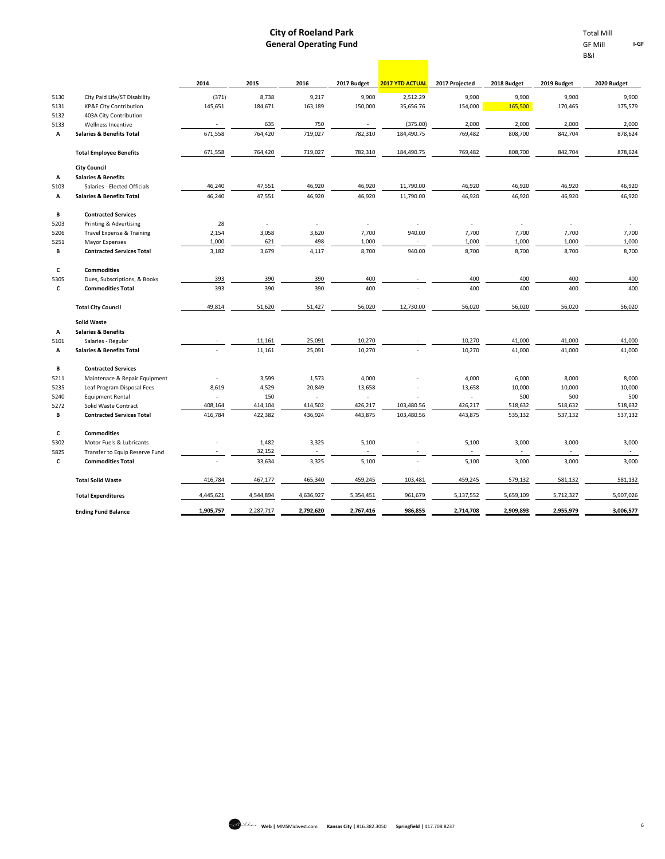**Contract** 

|      |                                      | 2014                     | 2015      | 2016           | 2017 Budget              | <b>2017 YTD ACTUAL</b>   | 2017 Projected | 2018 Budget              | 2019 Budget              | 2020 Budget |
|------|--------------------------------------|--------------------------|-----------|----------------|--------------------------|--------------------------|----------------|--------------------------|--------------------------|-------------|
| 5130 | City Paid Life/ST Disability         | (371)                    | 8,738     | 9,217          | 9,900                    | 2,512.29                 | 9,900          | 9,900                    | 9,900                    | 9,900       |
| 5131 | KP&F City Contribution               | 145,651                  | 184,671   | 163,189        | 150,000                  | 35,656.76                | 154,000        | 165,500                  | 170,465                  | 175,579     |
| 5132 | 403A City Contribution               |                          |           |                |                          |                          |                |                          |                          |             |
| 5133 | Wellness Incentive                   |                          | 635       | 750            | $\sim$                   | (375.00)                 | 2,000          | 2,000                    | 2,000                    | 2,000       |
| А    | <b>Salaries &amp; Benefits Total</b> | 671,558                  | 764,420   | 719,027        | 782,310                  | 184,490.75               | 769,482        | 808,700                  | 842,704                  | 878,624     |
|      | <b>Total Employee Benefits</b>       | 671,558                  | 764,420   | 719,027        | 782,310                  | 184,490.75               | 769,482        | 808,700                  | 842,704                  | 878,624     |
|      | <b>City Council</b>                  |                          |           |                |                          |                          |                |                          |                          |             |
| A    | <b>Salaries &amp; Benefits</b>       |                          |           |                |                          |                          |                |                          |                          |             |
| 5103 | Salaries - Elected Officials         | 46,240                   | 47,551    | 46,920         | 46,920                   | 11,790.00                | 46,920         | 46,920                   | 46,920                   | 46,920      |
| А    | <b>Salaries &amp; Benefits Total</b> | 46,240                   | 47,551    | 46,920         | 46,920                   | 11,790.00                | 46,920         | 46,920                   | 46,920                   | 46,920      |
| В    | <b>Contracted Services</b>           |                          |           |                |                          |                          |                |                          |                          |             |
| 5203 | Printing & Advertising               | 28                       | ÷,        | ÷,             | $\overline{\phantom{a}}$ | $\overline{\phantom{a}}$ |                | $\overline{\phantom{a}}$ | $\overline{\phantom{a}}$ |             |
| 5206 | <b>Travel Expense &amp; Training</b> | 2,154                    | 3,058     | 3,620          | 7,700                    | 940.00                   | 7,700          | 7,700                    | 7,700                    | 7,700       |
| 5251 | Mayor Expenses                       | 1,000                    | 621       | 498            | 1,000                    |                          | 1,000          | 1,000                    | 1,000                    | 1,000       |
| В    | <b>Contracted Services Total</b>     | 3,182                    | 3,679     | 4,117          | 8,700                    | 940.00                   | 8,700          | 8,700                    | 8,700                    | 8,700       |
| c    | <b>Commodities</b>                   |                          |           |                |                          |                          |                |                          |                          |             |
| 5305 | Dues, Subscriptions, & Books         | 393                      | 390       | 390            | 400                      |                          | 400            | 400                      | 400                      | 400         |
| c    | <b>Commodities Total</b>             | 393                      | 390       | 390            | 400                      |                          | 400            | 400                      | 400                      | 400         |
|      | <b>Total City Council</b>            | 49,814                   | 51,620    | 51,427         | 56,020                   | 12,730.00                | 56,020         | 56,020                   | 56,020                   | 56,020      |
|      | <b>Solid Waste</b>                   |                          |           |                |                          |                          |                |                          |                          |             |
| А    | <b>Salaries &amp; Benefits</b>       |                          |           |                |                          |                          |                |                          |                          |             |
| 5101 | Salaries - Regular                   |                          | 11,161    | 25,091         | 10,270                   |                          | 10,270         | 41,000                   | 41,000                   | 41,000      |
| А    | <b>Salaries &amp; Benefits Total</b> |                          | 11,161    | 25,091         | 10,270                   |                          | 10,270         | 41,000                   | 41,000                   | 41,000      |
| в    | <b>Contracted Services</b>           |                          |           |                |                          |                          |                |                          |                          |             |
| 5211 | Maintenace & Repair Equipment        | $\overline{\phantom{a}}$ | 3,599     | 1,573          | 4,000                    |                          | 4,000          | 6,000                    | 8,000                    | 8,000       |
| 5235 | Leaf Program Disposal Fees           | 8,619                    | 4,529     | 20,849         | 13,658                   |                          | 13,658         | 10,000                   | 10,000                   | 10,000      |
| 5240 | <b>Equipment Rental</b>              | $\sim$                   | 150       | $\overline{a}$ | ÷,                       |                          | ÷,             | 500                      | 500                      | 500         |
| 5272 | Solid Waste Contract                 | 408,164                  | 414,104   | 414,502        | 426,217                  | 103,480.56               | 426,217        | 518,632                  | 518,632                  | 518,632     |
| в    | <b>Contracted Services Total</b>     | 416,784                  | 422,382   | 436,924        | 443,875                  | 103,480.56               | 443,875        | 535,132                  | 537,132                  | 537,132     |
| c    | <b>Commodities</b>                   |                          |           |                |                          |                          |                |                          |                          |             |
| 5302 | Motor Fuels & Lubricants             |                          | 1,482     | 3,325          | 5,100                    |                          | 5,100          | 3,000                    | 3,000                    | 3,000       |
| 5825 | Transfer to Equip Reserve Fund       |                          | 32,152    |                |                          |                          |                |                          |                          |             |
| c    | <b>Commodities Total</b>             |                          | 33,634    | 3,325          | 5,100                    |                          | 5,100          | 3,000                    | 3,000                    | 3,000       |
|      | <b>Total Solid Waste</b>             | 416,784                  | 467,177   | 465,340        | 459,245                  | 103,481                  | 459,245        | 579,132                  | 581,132                  | 581,132     |
|      | <b>Total Expenditures</b>            | 4,445,621                | 4,544,894 | 4,636,927      | 5,354,451                | 961,679                  | 5,137,552      | 5,659,109                | 5,712,327                | 5,907,026   |
|      | <b>Ending Fund Balance</b>           | 1,905,757                | 2,287,717 | 2,792,620      | 2,767,416                | 986,855                  | 2,714,708      | 2,909,893                | 2,955,979                | 3,006,577   |

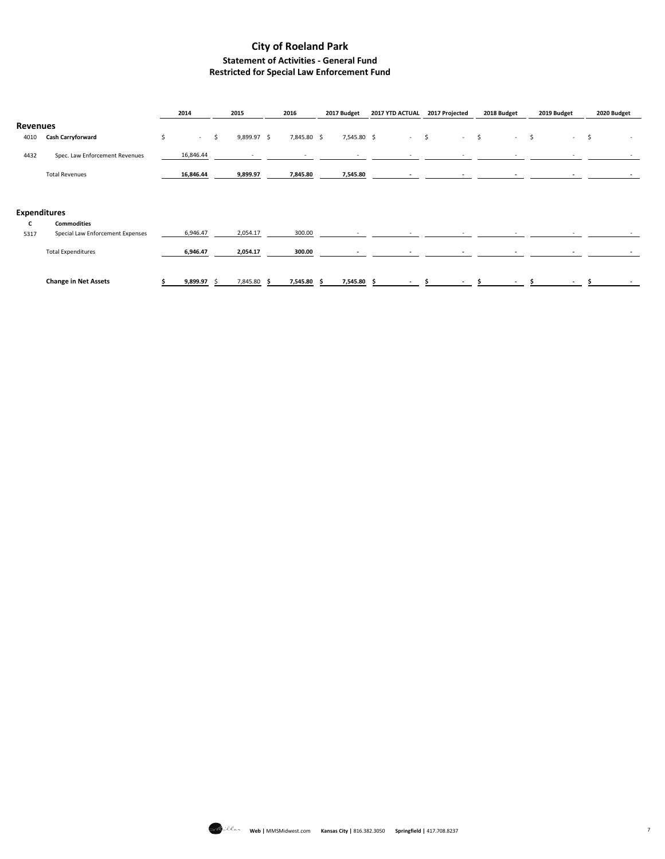### **City of Roeland Park Statement of Activities - General Fund Restricted for Special Law Enforcement Fund**

|                     |                                  | 2014 |             | 2015        |     | 2016        | 2017 Budget | 2017 YTD ACTUAL          | 2017 Projected |                          | 2018 Budget |                          | 2019 Budget |    | 2020 Budget |
|---------------------|----------------------------------|------|-------------|-------------|-----|-------------|-------------|--------------------------|----------------|--------------------------|-------------|--------------------------|-------------|----|-------------|
| <b>Revenues</b>     |                                  |      |             |             |     |             |             |                          |                |                          |             |                          |             |    |             |
| 4010                | Cash Carryforward                | \$   | $-5$        | 9,899.97 \$ |     | 7,845.80 \$ | 7,545.80 \$ | $-5$                     |                | $-5$                     |             | $-5$                     | $\sim 100$  | -S | $\sim$      |
| 4432                | Spec. Law Enforcement Revenues   |      | 16,846.44   | $\sim$      |     |             |             | ٠                        |                | $\overline{\phantom{a}}$ |             |                          |             |    |             |
|                     | <b>Total Revenues</b>            |      | 16,846.44   | 9,899.97    |     | 7,845.80    | 7,545.80    | $\overline{\phantom{a}}$ |                | $\sim$                   |             | $\overline{\phantom{a}}$ |             |    |             |
|                     |                                  |      |             |             |     |             |             |                          |                |                          |             |                          |             |    |             |
| <b>Expenditures</b> |                                  |      |             |             |     |             |             |                          |                |                          |             |                          |             |    |             |
| c                   | <b>Commodities</b>               |      |             |             |     |             |             |                          |                |                          |             |                          |             |    |             |
| 5317                | Special Law Enforcement Expenses |      | 6,946.47    | 2,054.17    |     | 300.00      | ٠           | $\sim$                   |                | ٠                        |             | $\overline{\phantom{a}}$ |             |    | $\sim$      |
|                     | <b>Total Expenditures</b>        |      | 6,946.47    | 2,054.17    |     | 300.00      |             | $\overline{\phantom{0}}$ |                | $\overline{\phantom{a}}$ |             | $\overline{\phantom{a}}$ |             |    |             |
|                     | <b>Change in Net Assets</b>      |      | 9,899.97 \$ | 7,845.80    | - S | 7,545.80    | 7,545.80 \$ | $\overline{\phantom{a}}$ |                | $\overline{\phantom{a}}$ |             | $\overline{\phantom{a}}$ |             |    |             |

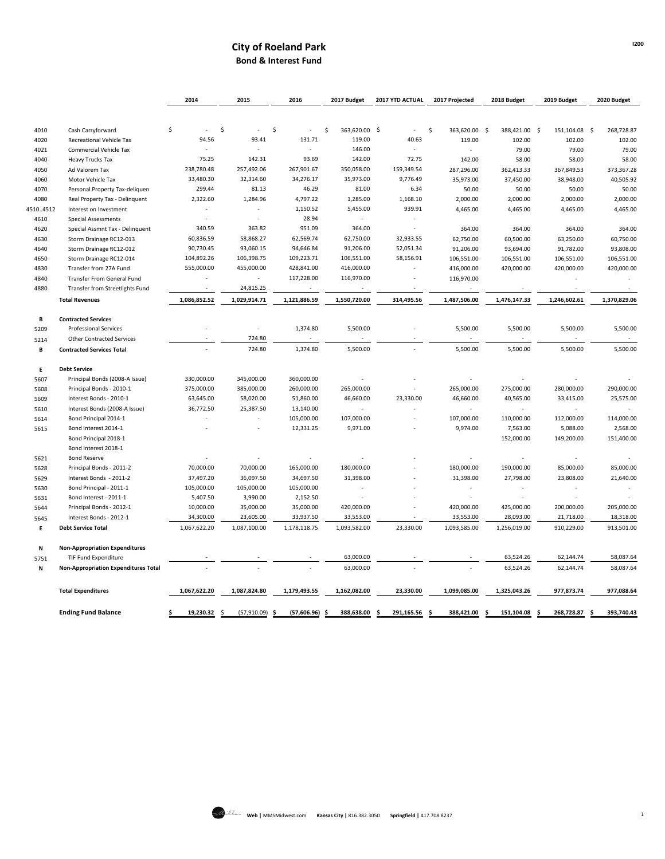### **City of Roeland Park Bond & Interest Fund**

|         |                                             | 2014                     | 2015                     | 2016               | 2017 Budget                   | 2017 YTD ACTUAL  | 2017 Projected      | 2018 Budget              | 2019 Budget          | 2020 Budget      |
|---------|---------------------------------------------|--------------------------|--------------------------|--------------------|-------------------------------|------------------|---------------------|--------------------------|----------------------|------------------|
|         |                                             |                          |                          |                    |                               |                  |                     |                          |                      |                  |
| 4010    | Cash Carryforward                           | \$                       | \$                       | \$                 | 363,620.00 \$<br><sup>5</sup> |                  | \$<br>363,620.00 \$ | 388,421.00               | -\$<br>151,104.08 \$ | 268,728.87       |
| 4020    | <b>Recreational Vehicle Tax</b>             | 94.56                    | 93.41                    | 131.71             | 119.00                        | 40.63            | 119.00              | 102.00                   | 102.00               | 102.00           |
| 4021    | Commercial Vehicle Tax                      |                          |                          | ×,                 | 146.00                        | ×                | ÷                   | 79.00                    | 79.00                | 79.00            |
| 4040    | <b>Heavy Trucks Tax</b>                     | 75.25                    | 142.31                   | 93.69              | 142.00                        | 72.75            | 142.00              | 58.00                    | 58.00                | 58.00            |
| 4050    | Ad Valorem Tax                              | 238,780.48               | 257,492.06               | 267,901.67         | 350,058.00                    | 159,349.54       | 287,296.00          | 362,413.33               | 367,849.53           | 373,367.28       |
| 4060    | Motor Vehicle Tax                           | 33,480.30                | 32,314.60                | 34,276.17          | 35,973.00                     | 9,776.49         | 35,973.00           | 37,450.00                | 38,948.00            | 40,505.92        |
| 4070    | Personal Property Tax-deliquen              | 299.44                   | 81.13                    | 46.29              | 81.00                         | 6.34             | 50.00               | 50.00                    | 50.00                | 50.00            |
| 4080    | Real Property Tax - Delinquent              | 2,322.60                 | 1,284.96                 | 4,797.22           | 1,285.00                      | 1,168.10         | 2,000.00            | 2,000.00                 | 2,000.00             | 2,000.00         |
| 5104512 | Interest on Investment                      |                          |                          | 1,150.52           | 5,455.00                      | 939.91           | 4,465.00            | 4,465.00                 | 4,465.00             | 4,465.00         |
| 4610    | <b>Special Assessments</b>                  | ×.                       | ÷                        | 28.94              | ÷                             | ×                |                     |                          |                      |                  |
| 4620    | Special Assmnt Tax - Delinquent             | 340.59                   | 363.82                   | 951.09             | 364.00                        |                  | 364.00              | 364.00                   | 364.00               | 364.00           |
| 4630    | Storm Drainage RC12-013                     | 60,836.59                | 58,868.27                | 62,569.74          | 62,750.00                     | 32,933.55        | 62,750.00           | 60,500.00                | 63,250.00            | 60,750.00        |
| 4640    | Storm Drainage RC12-012                     | 90,730.45                | 93,060.15                | 94,646.84          | 91,206.00                     | 52,051.34        | 91,206.00           | 93,694.00                | 91,782.00            | 93,808.00        |
| 4650    | Storm Drainage RC12-014                     | 104,892.26               | 106,398.75               | 109,223.71         | 106,551.00                    | 58,156.91        | 106,551.00          | 106,551.00               | 106,551.00           | 106,551.00       |
| 4830    | Transfer from 27A Fund                      | 555,000.00               | 455,000.00               | 428,841.00         | 416,000.00                    | ÷.               | 416,000.00          | 420,000.00               | 420,000.00           | 420,000.00       |
| 4840    | Transfer From General Fund                  |                          | $\overline{\phantom{a}}$ | 117,228.00         | 116,970.00                    |                  | 116,970.00          |                          |                      | ٠                |
| 4880    | Transfer from Streetlights Fund             | $\overline{\phantom{a}}$ | 24,815.25                | $\sim$             | $\sim$                        |                  | $\sim$              | $\sim$                   | $\sim$               | $\sim$           |
|         | <b>Total Revenues</b>                       | 1,086,852.52             | 1,029,914.71             | 1,121,886.59       | 1,550,720.00                  | 314,495.56       | 1,487,506.00        | 1,476,147.33             | 1,246,602.61         | 1,370,829.06     |
| B       | <b>Contracted Services</b>                  |                          |                          |                    |                               |                  |                     |                          |                      |                  |
| 5209    | <b>Professional Services</b>                |                          | $\overline{\phantom{a}}$ | 1,374.80           | 5,500.00                      |                  | 5,500.00            | 5,500.00                 | 5,500.00             | 5,500.00         |
| 5214    | <b>Other Contracted Services</b>            |                          | 724.80                   |                    |                               |                  |                     |                          |                      | $\sim$           |
| B       | <b>Contracted Services Total</b>            |                          | 724.80                   | 1,374.80           | 5,500.00                      |                  | 5,500.00            | 5,500.00                 | 5,500.00             | 5,500.00         |
| Ε       | <b>Debt Service</b>                         |                          |                          |                    |                               |                  |                     |                          |                      |                  |
| 5607    | Principal Bonds (2008-A Issue)              | 330,000.00               | 345,000.00               | 360,000.00         |                               |                  |                     |                          |                      |                  |
| 5608    | Principal Bonds - 2010-1                    | 375,000.00               | 385,000.00               | 260,000.00         | 265,000.00                    |                  | 265,000.00          | 275,000.00               | 280,000.00           | 290,000.00       |
| 5609    | Interest Bonds - 2010-1                     | 63,645.00                | 58,020.00                | 51,860.00          | 46,660.00                     | 23,330.00        | 46,660.00           | 40,565.00                | 33,415.00            | 25,575.00        |
| 5610    | Interest Bonds (2008-A Issue)               | 36,772.50                | 25,387.50                | 13,140.00          |                               |                  | ×.                  | ÷                        | ÷.                   |                  |
| 5614    | Bond Principal 2014-1                       |                          |                          | 105,000.00         | 107,000.00                    |                  | 107,000.00          | 110,000.00               | 112,000.00           | 114,000.00       |
| 5615    | Bond Interest 2014-1                        |                          | $\overline{\phantom{a}}$ | 12,331.25          | 9,971.00                      |                  | 9,974.00            | 7,563.00                 | 5,088.00             | 2,568.00         |
|         | Bond Principal 2018-1                       |                          |                          |                    |                               |                  |                     | 152,000.00               | 149,200.00           | 151,400.00       |
|         | Bond Interest 2018-1                        |                          |                          |                    |                               |                  |                     |                          |                      |                  |
| 5621    | <b>Bond Reserve</b>                         |                          |                          | ÷,                 |                               |                  |                     |                          |                      |                  |
| 5628    | Principal Bonds - 2011-2                    | 70,000.00                | 70,000.00                | 165,000.00         | 180,000.00                    |                  | 180,000.00          | 190,000.00               | 85,000.00            | 85,000.00        |
| 5629    | Interest Bonds - 2011-2                     | 37,497.20                | 36,097.50                | 34,697.50          | 31,398.00                     |                  | 31,398.00           | 27,798.00                | 23,808.00            | 21,640.00        |
| 5630    | Bond Principal - 2011-1                     | 105,000.00               | 105,000.00               | 105,000.00         |                               |                  | ٠                   | $\overline{\phantom{a}}$ | ٠                    |                  |
| 5631    | Bond Interest - 2011-1                      | 5,407.50                 | 3,990.00                 | 2,152.50           |                               |                  |                     |                          |                      |                  |
| 5644    | Principal Bonds - 2012-1                    | 10,000.00                | 35,000.00                | 35,000.00          | 420,000.00                    |                  | 420,000.00          | 425,000.00               | 200,000.00           | 205,000.00       |
| 5645    | Interest Bonds - 2012-1                     | 34,300.00                | 23,605.00                | 33,937.50          | 33,553.00                     |                  | 33,553.00           | 28,093.00                | 21,718.00            | 18,318.00        |
| E       | <b>Debt Service Total</b>                   | 1,067,622.20             | 1,087,100.00             | 1,178,118.75       | 1,093,582.00                  | 23,330.00        | 1,093,585.00        | 1,256,019.00             | 910,229.00           | 913,501.00       |
|         |                                             |                          |                          |                    |                               |                  |                     |                          |                      |                  |
| N       | <b>Non-Appropriation Expenditures</b>       |                          |                          |                    |                               |                  |                     |                          |                      |                  |
| 5751    | TIF Fund Expenditure                        |                          |                          |                    | 63,000.00                     |                  |                     | 63,524.26                | 62,144.74            | 58,087.64        |
| N       | <b>Non-Appropriation Expenditures Total</b> |                          |                          |                    | 63,000.00                     |                  |                     | 63,524.26                | 62,144.74            | 58,087.64        |
|         | <b>Total Expenditures</b>                   | 1,067,622.20             | 1,087,824.80             | 1,179,493.55       | 1,162,082.00                  | 23,330.00        | 1,099,085.00        | 1,325,043.26             | 977,873.74           | 977,088.64       |
|         | <b>Ending Fund Balance</b>                  | 19,230.32                | (57,910.09)<br>\$        | (57,606.96)<br>-\$ | 388,638.00<br>-\$             | 291,165.56<br>\$ | 388,421.00<br>-\$   | 151,104.08<br>-\$        | 268,728.87<br>Ŝ.     | \$<br>393,740.43 |
|         |                                             |                          |                          |                    |                               |                  |                     |                          |                      |                  |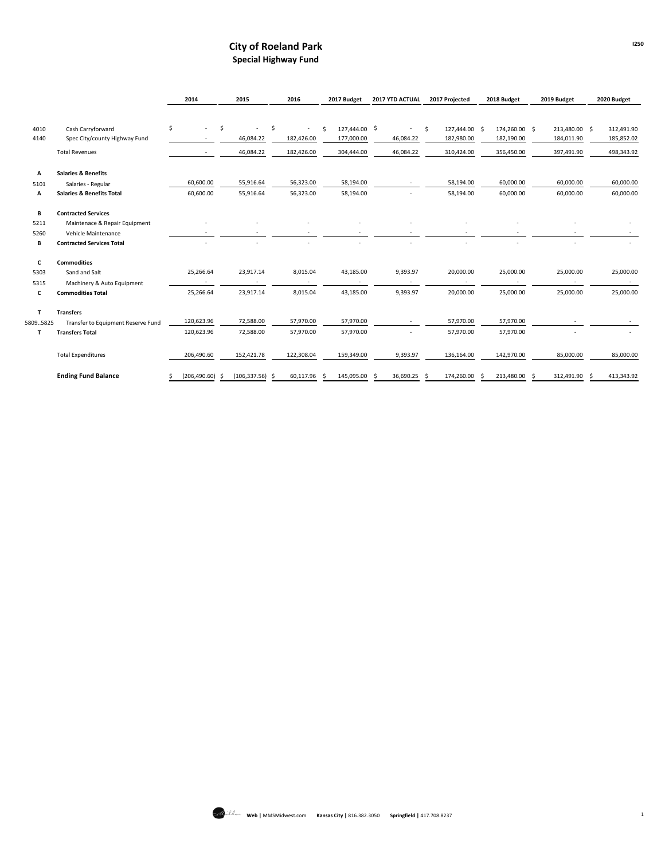### **City of Roeland Park Special Highway Fund**

|           |                                      | 2014                           | 2015               | 2016         | 2017 Budget          | 2017 YTD ACTUAL | 2017 Projected      | 2018 Budget          | 2019 Budget   | 2020 Budget |
|-----------|--------------------------------------|--------------------------------|--------------------|--------------|----------------------|-----------------|---------------------|----------------------|---------------|-------------|
|           |                                      |                                |                    |              |                      |                 |                     |                      |               |             |
| 4010      | Cash Carryforward                    | \$<br>$\overline{\phantom{a}}$ | \$                 | \$<br>$\sim$ | 127,444.00 \$<br>\$. | $\sim$          | \$<br>127,444.00 \$ | 174,260.00 \$        | 213,480.00 \$ | 312,491.90  |
| 4140      | Spec City/county Highway Fund        |                                | 46,084.22          | 182,426.00   | 177,000.00           | 46,084.22       | 182,980.00          | 182,190.00           | 184,011.90    | 185,852.02  |
|           | <b>Total Revenues</b>                |                                | 46,084.22          | 182,426.00   | 304,444.00           | 46,084.22       | 310,424.00          | 356,450.00           | 397,491.90    | 498,343.92  |
| А         | <b>Salaries &amp; Benefits</b>       |                                |                    |              |                      |                 |                     |                      |               |             |
| 5101      | Salaries - Regular                   | 60,600.00                      | 55,916.64          | 56,323.00    | 58,194.00            |                 | 58,194.00           | 60,000.00            | 60,000.00     | 60,000.00   |
| А         | <b>Salaries &amp; Benefits Total</b> | 60,600.00                      | 55,916.64          | 56,323.00    | 58,194.00            |                 | 58,194.00           | 60,000.00            | 60,000.00     | 60,000.00   |
| B         | <b>Contracted Services</b>           |                                |                    |              |                      |                 |                     |                      |               |             |
| 5211      | Maintenace & Repair Equipment        |                                |                    |              |                      |                 |                     |                      |               |             |
| 5260      | Vehicle Maintenance                  |                                |                    |              |                      |                 |                     |                      |               |             |
| В         | <b>Contracted Services Total</b>     |                                |                    |              |                      |                 |                     |                      |               |             |
| c         | <b>Commodities</b>                   |                                |                    |              |                      |                 |                     |                      |               |             |
| 5303      | Sand and Salt                        | 25,266.64                      | 23,917.14          | 8,015.04     | 43,185.00            | 9,393.97        | 20,000.00           | 25,000.00            | 25,000.00     | 25,000.00   |
| 5315      | Machinery & Auto Equipment           |                                |                    |              |                      |                 |                     |                      |               |             |
| c         | <b>Commodities Total</b>             | 25,266.64                      | 23,917.14          | 8,015.04     | 43,185.00            | 9,393.97        | 20,000.00           | 25,000.00            | 25,000.00     | 25,000.00   |
| T         | <b>Transfers</b>                     |                                |                    |              |                      |                 |                     |                      |               |             |
| 5809.5825 | Transfer to Equipment Reserve Fund   | 120,623.96                     | 72,588.00          | 57,970.00    | 57,970.00            | $\sim$          | 57,970.00           | 57,970.00            |               |             |
| т         | <b>Transfers Total</b>               | 120,623.96                     | 72,588.00          | 57,970.00    | 57,970.00            |                 | 57,970.00           | 57,970.00            |               |             |
|           | <b>Total Expenditures</b>            | 206,490.60                     | 152,421.78         | 122,308.04   | 159,349.00           | 9,393.97        | 136,164.00          | 142,970.00           | 85,000.00     | 85,000.00   |
|           | <b>Ending Fund Balance</b>           | $(206, 490.60)$ \$<br>S        | $(106, 337.56)$ \$ | 60.117.96 \$ | 145,095.00 \$        | 36,690.25 \$    | 174,260.00          | 213.480.00 \$<br>- Ś | 312.491.90 \$ | 413.343.92  |

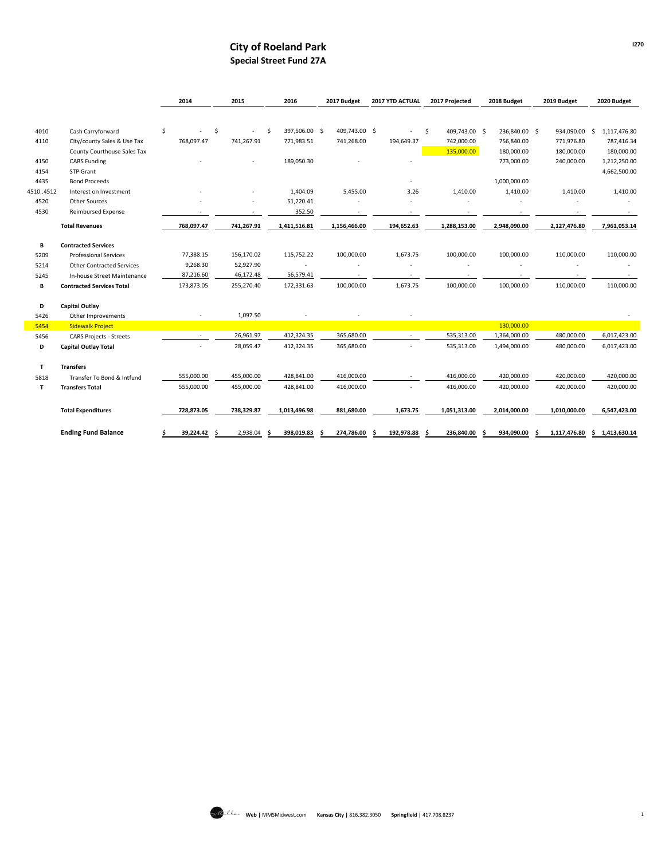### **City of Roeland Park Special Street Fund 27A**

|          |                                  | 2014       |     | 2015       |    | 2016          |   | 2017 Budget   | 2017 YTD ACTUAL |    | 2017 Projected |   | 2018 Budget   |   | 2019 Budget   | 2020 Budget        |
|----------|----------------------------------|------------|-----|------------|----|---------------|---|---------------|-----------------|----|----------------|---|---------------|---|---------------|--------------------|
|          |                                  |            |     |            |    |               |   |               |                 |    |                |   |               |   |               |                    |
| 4010     | Cash Carryforward                | \$         | \$. |            | Ŝ. | 397,506.00 \$ |   | 409,743.00 \$ |                 | \$ | 409,743.00 \$  |   | 236,840.00 \$ |   | 934,090.00 \$ | 1,117,476.80       |
| 4110     | City/county Sales & Use Tax      | 768,097.47 |     | 741,267.91 |    | 771,983.51    |   | 741,268.00    | 194,649.37      |    | 742,000.00     |   | 756,840.00    |   | 771,976.80    | 787,416.34         |
|          | County Courthouse Sales Tax      |            |     |            |    |               |   |               |                 |    | 135,000.00     |   | 180,000.00    |   | 180,000.00    | 180,000.00         |
| 4150     | <b>CARS Funding</b>              |            |     |            |    | 189,050.30    |   |               |                 |    |                |   | 773,000.00    |   | 240,000.00    | 1,212,250.00       |
| 4154     | STP Grant                        |            |     |            |    |               |   |               |                 |    |                |   |               |   |               | 4,662,500.00       |
| 4435     | <b>Bond Proceeds</b>             |            |     |            |    |               |   |               |                 |    |                |   | 1,000,000.00  |   |               |                    |
| 45104512 | Interest on Investment           |            |     |            |    | 1,404.09      |   | 5,455.00      | 3.26            |    | 1,410.00       |   | 1,410.00      |   | 1,410.00      | 1,410.00           |
| 4520     | Other Sources                    |            |     |            |    | 51,220.41     |   |               |                 |    |                |   |               |   |               |                    |
| 4530     | <b>Reimbursed Expense</b>        |            |     | ٠          |    | 352.50        |   |               | ٠               |    | ٠              |   |               |   |               |                    |
|          | <b>Total Revenues</b>            | 768,097.47 |     | 741,267.91 |    | 1,411,516.81  |   | 1,156,466.00  | 194,652.63      |    | 1,288,153.00   |   | 2,948,090.00  |   | 2,127,476.80  | 7,961,053.14       |
| В        | <b>Contracted Services</b>       |            |     |            |    |               |   |               |                 |    |                |   |               |   |               |                    |
| 5209     | <b>Professional Services</b>     | 77,388.15  |     | 156,170.02 |    | 115,752.22    |   | 100,000.00    | 1,673.75        |    | 100,000.00     |   | 100,000.00    |   | 110,000.00    | 110,000.00         |
| 5214     | <b>Other Contracted Services</b> | 9,268.30   |     | 52,927.90  |    |               |   |               |                 |    |                |   |               |   |               |                    |
| 5245     | In-house Street Maintenance      | 87,216.60  |     | 46,172.48  |    | 56,579.41     |   |               |                 |    |                |   |               |   |               |                    |
| В        | <b>Contracted Services Total</b> | 173,873.05 |     | 255,270.40 |    | 172,331.63    |   | 100,000.00    | 1,673.75        |    | 100,000.00     |   | 100,000.00    |   | 110,000.00    | 110,000.00         |
| D        | Capital Outlay                   |            |     |            |    |               |   |               |                 |    |                |   |               |   |               |                    |
| 5426     | Other Improvements               |            |     | 1,097.50   |    |               |   |               |                 |    |                |   |               |   |               |                    |
| 5454     | <b>Sidewalk Project</b>          |            |     |            |    |               |   |               |                 |    |                |   | 130,000.00    |   |               |                    |
| 5456     | <b>CARS Projects - Streets</b>   | $\sim$     |     | 26,961.97  |    | 412,324.35    |   | 365,680.00    |                 |    | 535,313.00     |   | 1,364,000.00  |   | 480,000.00    | 6,017,423.00       |
| D        | <b>Capital Outlay Total</b>      |            |     | 28,059.47  |    | 412,324.35    |   | 365,680.00    |                 |    | 535,313.00     |   | 1,494,000.00  |   | 480,000.00    | 6,017,423.00       |
| T        | <b>Transfers</b>                 |            |     |            |    |               |   |               |                 |    |                |   |               |   |               |                    |
| 5818     | Transfer To Bond & Intfund       | 555,000.00 |     | 455,000.00 |    | 428,841.00    |   | 416,000.00    |                 |    | 416,000.00     |   | 420,000.00    |   | 420,000.00    | 420,000.00         |
| т        | <b>Transfers Total</b>           | 555,000.00 |     | 455,000.00 |    | 428,841.00    |   | 416,000.00    |                 |    | 416,000.00     |   | 420,000.00    |   | 420,000.00    | 420,000.00         |
|          | <b>Total Expenditures</b>        | 728,873.05 |     | 738,329.87 |    | 1,013,496.98  |   | 881,680.00    | 1,673.75        |    | 1,051,313.00   |   | 2,014,000.00  |   | 1,010,000.00  | 6,547,423.00       |
|          | <b>Ending Fund Balance</b>       | 39,224.42  | -Ś  | 2,938.04   | S  | 398,019.83    | S | 274,786.00    | 192,978.88      | S  | 236,840.00     | s | 934,090.00    | S | 1,117,476.80  | \$<br>1,413,630.14 |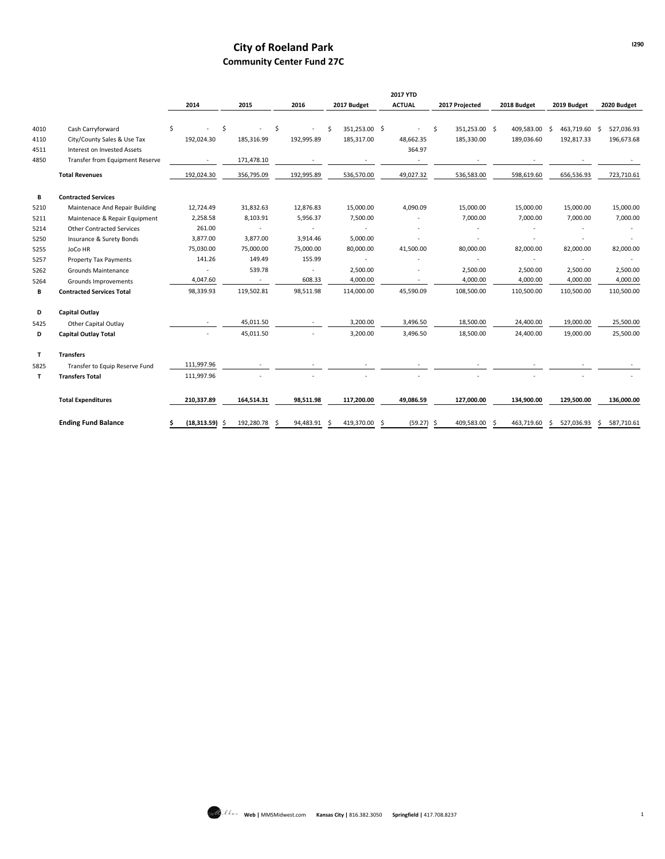# **City of Roeland Park Community Center Fund 27C**

|              |                                  |    |                  |                          |    |            |     |                          | <b>2017 YTD</b> |                     |    |             |    |             |     |             |
|--------------|----------------------------------|----|------------------|--------------------------|----|------------|-----|--------------------------|-----------------|---------------------|----|-------------|----|-------------|-----|-------------|
|              |                                  |    | 2014             | 2015                     |    | 2016       |     | 2017 Budget              | <b>ACTUAL</b>   | 2017 Projected      |    | 2018 Budget |    | 2019 Budget |     | 2020 Budget |
| 4010         | Cash Carryforward                | \$ |                  | \$                       | \$ |            | Ś   | 351,253.00 \$            |                 | \$<br>351,253.00 \$ |    | 409,583.00  | \$ | 463,719.60  | -\$ | 527,036.93  |
| 4110         | City/County Sales & Use Tax      |    | 192,024.30       | 185,316.99               |    | 192,995.89 |     | 185,317.00               | 48,662.35       | 185,330.00          |    | 189,036.60  |    | 192,817.33  |     | 196,673.68  |
| 4511         | Interest on Invested Assets      |    |                  |                          |    |            |     |                          | 364.97          |                     |    |             |    |             |     |             |
| 4850         | Transfer from Equipment Reserve  |    | $\sim$           | 171,478.10               |    |            |     |                          | $\sim$          |                     |    |             |    |             |     |             |
|              | <b>Total Revenues</b>            |    | 192,024.30       | 356,795.09               |    | 192,995.89 |     | 536,570.00               | 49,027.32       | 536,583.00          |    | 598,619.60  |    | 656,536.93  |     | 723,710.61  |
| В            | <b>Contracted Services</b>       |    |                  |                          |    |            |     |                          |                 |                     |    |             |    |             |     |             |
| 5210         | Maintenace And Repair Building   |    | 12,724.49        | 31,832.63                |    | 12,876.83  |     | 15,000.00                | 4,090.09        | 15,000.00           |    | 15,000.00   |    | 15,000.00   |     | 15,000.00   |
| 5211         | Maintenace & Repair Equipment    |    | 2,258.58         | 8,103.91                 |    | 5,956.37   |     | 7,500.00                 |                 | 7,000.00            |    | 7,000.00    |    | 7,000.00    |     | 7,000.00    |
| 5214         | <b>Other Contracted Services</b> |    | 261.00           | $\sim$                   |    |            |     | ×.                       |                 |                     |    |             |    |             |     |             |
| 5250         | Insurance & Surety Bonds         |    | 3,877.00         | 3,877.00                 |    | 3,914.46   |     | 5,000.00                 |                 |                     |    |             |    |             |     |             |
| 5255         | JoCo HR                          |    | 75,030.00        | 75,000.00                |    | 75,000.00  |     | 80,000.00                | 41,500.00       | 80,000.00           |    | 82,000.00   |    | 82,000.00   |     | 82,000.00   |
| 5257         | <b>Property Tax Payments</b>     |    | 141.26           | 149.49                   |    | 155.99     |     | $\overline{\phantom{a}}$ |                 |                     |    |             |    |             |     |             |
| 5262         | Grounds Maintenance              |    | $\sim$           | 539.78                   |    | $\sim$     |     | 2,500.00                 |                 | 2,500.00            |    | 2,500.00    |    | 2,500.00    |     | 2,500.00    |
| 5264         | Grounds Improvements             |    | 4,047.60         | $\overline{\phantom{a}}$ |    | 608.33     |     | 4,000.00                 |                 | 4,000.00            |    | 4,000.00    |    | 4,000.00    |     | 4,000.00    |
| В            | <b>Contracted Services Total</b> |    | 98,339.93        | 119,502.81               |    | 98,511.98  |     | 114,000.00               | 45,590.09       | 108,500.00          |    | 110,500.00  |    | 110,500.00  |     | 110,500.00  |
| D            | <b>Capital Outlay</b>            |    |                  |                          |    |            |     |                          |                 |                     |    |             |    |             |     |             |
| 5425         | Other Capital Outlay             |    | $\sim$           | 45,011.50                |    | $\sim$     |     | 3,200.00                 | 3,496.50        | 18,500.00           |    | 24,400.00   |    | 19,000.00   |     | 25,500.00   |
| D            | <b>Capital Outlay Total</b>      |    |                  | 45,011.50                |    |            |     | 3,200.00                 | 3,496.50        | 18,500.00           |    | 24,400.00   |    | 19,000.00   |     | 25,500.00   |
| $\mathbf{T}$ | <b>Transfers</b>                 |    |                  |                          |    |            |     |                          |                 |                     |    |             |    |             |     |             |
| 5825         | Transfer to Equip Reserve Fund   |    | 111,997.96       |                          |    |            |     |                          |                 |                     |    |             |    |             |     |             |
| T            | <b>Transfers Total</b>           |    | 111,997.96       |                          |    |            |     |                          |                 |                     |    |             |    |             |     |             |
|              | <b>Total Expenditures</b>        |    | 210,337.89       | 164,514.31               |    | 98,511.98  |     | 117,200.00               | 49.086.59       | 127,000.00          |    | 134,900.00  |    | 129,500.00  |     | 136,000.00  |
|              | <b>Ending Fund Balance</b>       | Ś  | $(18,313.59)$ \$ | 192,280.78               | Ŝ. | 94,483.91  | - Ś | 419,370.00 \$            | $(59.27)$ \$    | 409,583.00          | -Ś | 463,719.60  | Ŝ. | 527,036.93  | \$  | 587,710.61  |

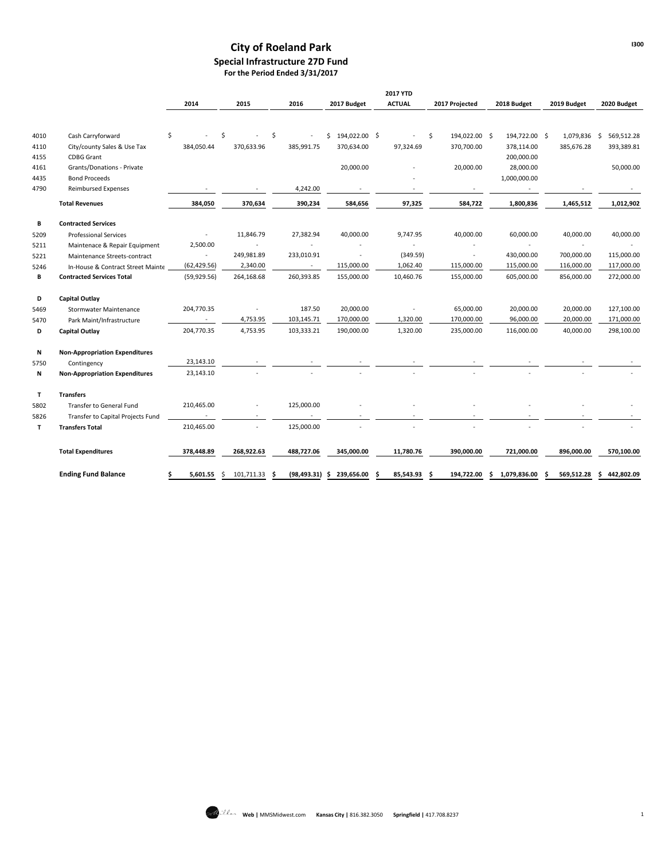## **City of Roeland Park Special Infrastructure 27D Fund For the Period Ended 3/31/2017**

|      |                                       |                          |                         |              |                     | <b>2017 YTD</b> |                     |                    |                 |                  |
|------|---------------------------------------|--------------------------|-------------------------|--------------|---------------------|-----------------|---------------------|--------------------|-----------------|------------------|
|      |                                       | 2014                     | 2015                    | 2016         | 2017 Budget         | <b>ACTUAL</b>   | 2017 Projected      | 2018 Budget        | 2019 Budget     | 2020 Budget      |
|      |                                       |                          |                         |              |                     |                 |                     |                    |                 |                  |
| 4010 | Cash Carryforward<br>\$               |                          | \$<br>S                 |              | 194,022.00 \$<br>\$ |                 | 194,022.00 \$<br>\$ | 194,722.00 \$      | 1,079,836       | 569,512.28<br>Ŝ. |
| 4110 | City/county Sales & Use Tax           | 384,050.44               | 370,633.96              | 385,991.75   | 370,634.00          | 97,324.69       | 370,700.00          | 378,114.00         | 385,676.28      | 393,389.81       |
| 4155 | <b>CDBG Grant</b>                     |                          |                         |              |                     |                 |                     | 200,000.00         |                 |                  |
| 4161 | Grants/Donations - Private            |                          |                         |              | 20,000.00           |                 | 20,000.00           | 28,000.00          |                 | 50,000.00        |
| 4435 | <b>Bond Proceeds</b>                  |                          |                         |              |                     |                 |                     | 1,000,000.00       |                 |                  |
| 4790 | <b>Reimbursed Expenses</b>            |                          |                         | 4,242.00     |                     |                 |                     |                    |                 |                  |
|      | <b>Total Revenues</b>                 | 384,050                  | 370,634                 | 390,234      | 584,656             | 97,325          | 584,722             | 1,800,836          | 1,465,512       | 1,012,902        |
| В    | <b>Contracted Services</b>            |                          |                         |              |                     |                 |                     |                    |                 |                  |
| 5209 | <b>Professional Services</b>          |                          | 11,846.79               | 27,382.94    | 40,000.00           | 9,747.95        | 40,000.00           | 60,000.00          | 40,000.00       | 40,000.00        |
| 5211 | Maintenace & Repair Equipment         | 2,500.00                 |                         |              |                     |                 |                     |                    | $\blacksquare$  |                  |
| 5221 | Maintenance Streets-contract          | $\overline{\phantom{a}}$ | 249,981.89              | 233,010.91   | $\sim$              | (349.59)        | $\bar{a}$           | 430,000.00         | 700,000.00      | 115,000.00       |
| 5246 | In-House & Contract Street Mainte     | (62, 429.56)             | 2,340.00                | $\sim$       | 115,000.00          | 1,062.40        | 115,000.00          | 115,000.00         | 116,000.00      | 117,000.00       |
| В    | <b>Contracted Services Total</b>      | (59, 929.56)             | 264,168.68              | 260,393.85   | 155,000.00          | 10,460.76       | 155,000.00          | 605,000.00         | 856,000.00      | 272,000.00       |
| D    | <b>Capital Outlay</b>                 |                          |                         |              |                     |                 |                     |                    |                 |                  |
| 5469 | Stormwater Maintenance                | 204,770.35               |                         | 187.50       | 20,000.00           |                 | 65,000.00           | 20,000.00          | 20,000.00       | 127,100.00       |
| 5470 | Park Maint/Infrastructure             |                          | 4,753.95                | 103,145.71   | 170,000.00          | 1,320.00        | 170,000.00          | 96,000.00          | 20,000.00       | 171,000.00       |
| D    | <b>Capital Outlay</b>                 | 204,770.35               | 4,753.95                | 103,333.21   | 190,000.00          | 1,320.00        | 235,000.00          | 116,000.00         | 40,000.00       | 298,100.00       |
| Ν    | <b>Non-Appropriation Expenditures</b> |                          |                         |              |                     |                 |                     |                    |                 |                  |
| 5750 | Contingency                           | 23,143.10                |                         |              |                     |                 |                     |                    |                 |                  |
| N    | <b>Non-Appropriation Expenditures</b> | 23,143.10                |                         |              |                     |                 |                     |                    |                 |                  |
| Τ    | <b>Transfers</b>                      |                          |                         |              |                     |                 |                     |                    |                 |                  |
| 5802 | Transfer to General Fund              | 210,465.00               |                         | 125,000.00   |                     |                 |                     |                    |                 |                  |
| 5826 | Transfer to Capital Projects Fund     |                          |                         |              |                     |                 |                     |                    |                 |                  |
| T    | <b>Transfers Total</b>                | 210,465.00               |                         | 125,000.00   |                     |                 |                     |                    |                 |                  |
|      | <b>Total Expenditures</b>             | 378,448.89               | 268,922.63              | 488,727.06   | 345,000.00          | 11,780.76       | 390,000.00          | 721,000.00         | 896,000.00      | 570,100.00       |
|      | <b>Ending Fund Balance</b><br>S       | 5,601.55                 | 101,711.33<br>S.<br>\$. | (98, 493.31) | 239,656.00<br>-S    | 85,543.93<br>Ŝ  | 194,722.00<br>-S    | 1,079,836.00<br>\$ | 569,512.28<br>Ś | 442,802.09<br>\$ |

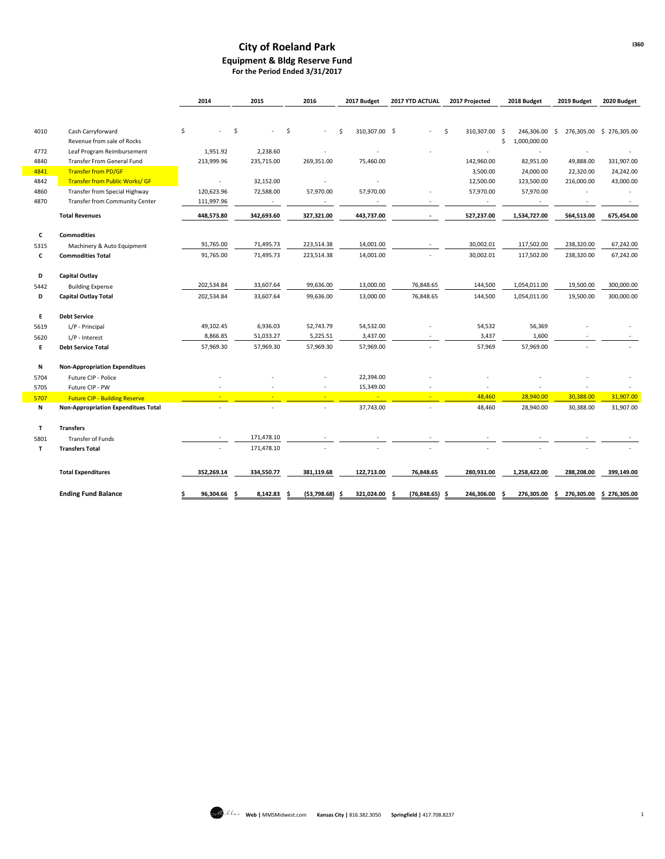### **City of Roeland Park Equipment & Bldg Reserve Fund For the Period Ended 3/31/2017**

|      |                                            | 2014              | 2015        | 2016             | 2017 Budget              | 2017 YTD ACTUAL  | 2017 Projected     | 2018 Budget        | 2019 Budget | 2020 Budget              |
|------|--------------------------------------------|-------------------|-------------|------------------|--------------------------|------------------|--------------------|--------------------|-------------|--------------------------|
|      |                                            |                   |             |                  |                          |                  |                    |                    |             |                          |
| 4010 | Cash Carryforward                          | \$                | \$          | \$               | 310,307.00 \$<br>.\$     |                  | Ś<br>310,307.00 \$ | 246,306.00         | S.          | 276,305.00 \$ 276,305.00 |
|      | Revenue from sale of Rocks                 |                   |             |                  |                          |                  |                    | \$<br>1,000,000.00 |             |                          |
| 4772 | Leaf Program Reimbursement                 | 1,951.92          | 2,238.60    |                  |                          |                  |                    | ٠                  |             |                          |
| 4840 | Transfer From General Fund                 | 213,999.96        | 235,715.00  | 269,351.00       | 75,460.00                |                  | 142,960.00         | 82,951.00          | 49,888.00   | 331,907.00               |
| 4841 | <b>Transfer from PD/GF</b>                 |                   |             |                  |                          |                  | 3,500.00           | 24,000.00          | 22,320.00   | 24,242.00                |
| 4842 | <b>Transfer from Public Works/ GF</b>      | $\sim$            | 32,152.00   | $\sim$           | $\overline{\phantom{a}}$ |                  | 12,500.00          | 123,500.00         | 216,000.00  | 43,000.00                |
| 4860 | Transfer from Special Highway              | 120,623.96        | 72,588.00   | 57,970.00        | 57,970.00                |                  | 57,970.00          | 57,970.00          |             |                          |
| 4870 | <b>Transfer from Community Center</b>      | 111,997.96        | $\sim$      |                  |                          |                  | $\sim$             |                    |             |                          |
|      | <b>Total Revenues</b>                      | 448,573.80        | 342,693.60  | 327,321.00       | 443,737.00               |                  | 527,237.00         | 1,534,727.00       | 564,513.00  | 675,454.00               |
|      |                                            |                   |             |                  |                          |                  |                    |                    |             |                          |
| c    | <b>Commodities</b>                         |                   |             |                  |                          |                  |                    |                    |             |                          |
| 5315 | Machinery & Auto Equipment                 | 91,765.00         | 71,495.73   | 223,514.38       | 14,001.00                |                  | 30,002.01          | 117,502.00         | 238,320.00  | 67,242.00                |
| c    | <b>Commodities Total</b>                   | 91,765.00         | 71,495.73   | 223,514.38       | 14,001.00                |                  | 30,002.01          | 117,502.00         | 238,320.00  | 67,242.00                |
| D    | <b>Capital Outlay</b>                      |                   |             |                  |                          |                  |                    |                    |             |                          |
| 5442 | <b>Building Expense</b>                    | 202,534.84        | 33,607.64   | 99,636.00        | 13,000.00                | 76,848.65        | 144,500            | 1,054,011.00       | 19,500.00   | 300,000.00               |
| D    | <b>Capital Outlay Total</b>                | 202,534.84        | 33,607.64   | 99,636.00        | 13,000.00                | 76,848.65        | 144,500            | 1,054,011.00       | 19,500.00   | 300,000.00               |
| E    | <b>Debt Service</b>                        |                   |             |                  |                          |                  |                    |                    |             |                          |
| 5619 | L/P - Principal                            | 49,102.45         | 6,936.03    | 52,743.79        | 54,532.00                |                  | 54,532             | 56,369             |             |                          |
| 5620 | L/P - Interest                             | 8,866.85          | 51,033.27   | 5,225.51         | 3,437.00                 |                  | 3,437              | 1,600              |             |                          |
| E    | <b>Debt Service Total</b>                  | 57,969.30         | 57,969.30   | 57,969.30        | 57,969.00                |                  | 57,969             | 57,969.00          |             |                          |
| N    | <b>Non-Appropriation Expenditues</b>       |                   |             |                  |                          |                  |                    |                    |             |                          |
| 5704 | Future CIP - Police                        |                   |             |                  | 22,394.00                |                  |                    |                    |             |                          |
| 5705 | Future CIP - PW                            |                   |             |                  | 15,349.00                |                  |                    |                    |             |                          |
| 5707 | <b>Future CIP - Building Reserve</b>       | ÷                 | ÷           |                  |                          | ÷                | 48,460             | 28,940.00          | 30,388.00   | 31,907.00                |
| N    | <b>Non-Appropriation Expenditues Total</b> |                   |             |                  | 37,743.00                |                  | 48,460             | 28,940.00          | 30,388.00   | 31,907.00                |
| T    | <b>Transfers</b>                           |                   |             |                  |                          |                  |                    |                    |             |                          |
| 5801 | <b>Transfer of Funds</b>                   |                   | 171,478.10  |                  |                          |                  |                    |                    |             |                          |
| T    | <b>Transfers Total</b>                     |                   | 171,478.10  |                  |                          |                  |                    |                    |             |                          |
|      | <b>Total Expenditures</b>                  | 352,269.14        | 334,550.77  | 381,119.68       | 122,713.00               | 76,848.65        | 280,931.00         | 1,258,422.00       | 288,208.00  | 399,149.00               |
|      |                                            |                   |             |                  |                          |                  |                    |                    |             |                          |
|      | <b>Ending Fund Balance</b>                 | 96,304.66 \$<br>Ś | 8,142.83 \$ | $(53,798.68)$ \$ | 321,024.00 \$            | $(76,848.65)$ \$ | 246,306.00 \$      | 276,305.00         | \$          | 276,305.00 \$ 276,305.00 |

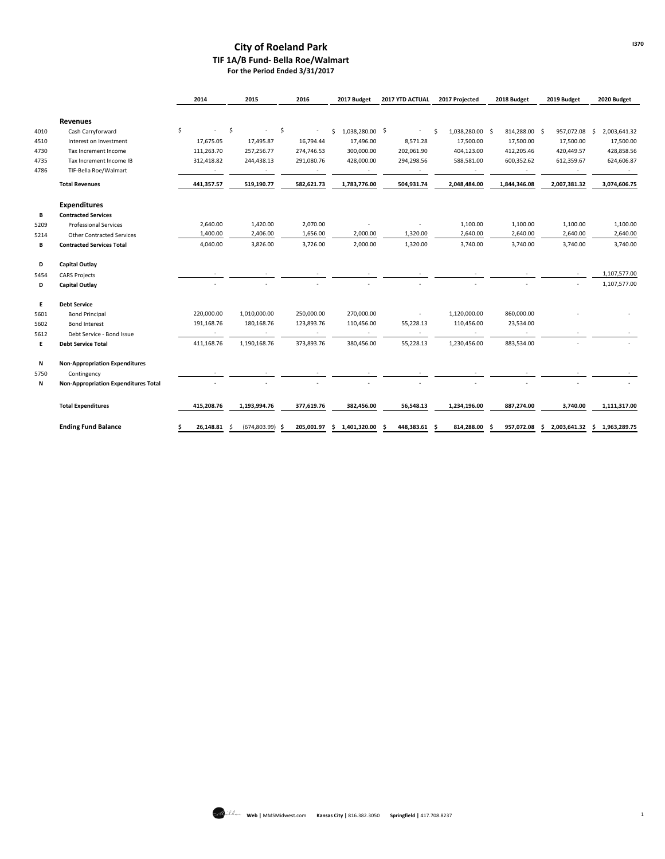### **City of Roeland Park TIF 1A/B Fund- Bella Roe/Walmart For the Period Ended 3/31/2017**

|      |                                             | 2014       |                    | 2015          |     | 2016       | 2017 Budget      | 2017 YTD ACTUAL          |     | 2017 Projected  |    | 2018 Budget   | 2019 Budget    |     | 2020 Budget    |
|------|---------------------------------------------|------------|--------------------|---------------|-----|------------|------------------|--------------------------|-----|-----------------|----|---------------|----------------|-----|----------------|
|      | <b>Revenues</b>                             |            |                    |               |     |            |                  |                          |     |                 |    |               |                |     |                |
| 4010 | Cash Carryforward                           | \$         | $\ddot{\varsigma}$ | $\sim$        | -\$ | $\sim$     | \$1,038,280.00\$ | $\sim$                   | \$  | 1,038,280.00 \$ |    | 814,288.00 \$ | 957,072.08     | - Ś | 2,003,641.32   |
| 4510 | Interest on Investment                      | 17,675.05  |                    | 17,495.87     |     | 16,794.44  | 17,496.00        | 8,571.28                 |     | 17,500.00       |    | 17,500.00     | 17,500.00      |     | 17,500.00      |
| 4730 | Tax Increment Income                        | 111,263.70 |                    | 257,256.77    |     | 274,746.53 | 300,000.00       | 202,061.90               |     | 404,123.00      |    | 412,205.46    | 420,449.57     |     | 428,858.56     |
| 4735 | Tax Increment Income IB                     | 312,418.82 |                    | 244,438.13    |     | 291,080.76 | 428,000.00       | 294,298.56               |     | 588,581.00      |    | 600,352.62    | 612,359.67     |     | 624,606.87     |
| 4786 | TIF-Bella Roe/Walmart                       | $\sim$     |                    | $\sim$        |     | $\sim$     | $\sim$           | $\sim$                   |     | $\sim$          |    | $\sim$        | $\sim$         |     | $\sim$         |
|      | <b>Total Revenues</b>                       | 441,357.57 |                    | 519,190.77    |     | 582,621.73 | 1,783,776.00     | 504,931.74               |     | 2,048,484.00    |    | 1,844,346.08  | 2,007,381.32   |     | 3,074,606.75   |
|      | <b>Expenditures</b>                         |            |                    |               |     |            |                  |                          |     |                 |    |               |                |     |                |
| В    | <b>Contracted Services</b>                  |            |                    |               |     |            |                  |                          |     |                 |    |               |                |     |                |
| 5209 | <b>Professional Services</b>                | 2,640.00   |                    | 1,420.00      |     | 2,070.00   |                  |                          |     | 1,100.00        |    | 1,100.00      | 1,100.00       |     | 1,100.00       |
| 5214 | <b>Other Contracted Services</b>            | 1,400.00   |                    | 2,406.00      |     | 1,656.00   | 2,000.00         | 1,320.00                 |     | 2,640.00        |    | 2,640.00      | 2,640.00       |     | 2,640.00       |
| В    | <b>Contracted Services Total</b>            | 4,040.00   |                    | 3,826.00      |     | 3,726.00   | 2,000.00         | 1,320.00                 |     | 3,740.00        |    | 3,740.00      | 3,740.00       |     | 3,740.00       |
| D    | <b>Capital Outlay</b>                       |            |                    |               |     |            |                  |                          |     |                 |    |               |                |     |                |
| 5454 | <b>CARS Projects</b>                        |            |                    |               |     |            |                  |                          |     |                 |    |               |                |     | 1,107,577.00   |
| D    | <b>Capital Outlay</b>                       |            |                    |               |     |            |                  |                          |     |                 |    |               |                |     | 1,107,577.00   |
| E    | <b>Debt Service</b>                         |            |                    |               |     |            |                  |                          |     |                 |    |               |                |     |                |
| 5601 | <b>Bond Principal</b>                       | 220,000.00 |                    | 1,010,000.00  |     | 250,000.00 | 270,000.00       | $\overline{\phantom{a}}$ |     | 1,120,000.00    |    | 860,000.00    |                |     |                |
| 5602 | <b>Bond Interest</b>                        | 191,168.76 |                    | 180,168.76    |     | 123,893.76 | 110,456.00       | 55,228.13                |     | 110,456.00      |    | 23,534.00     |                |     |                |
| 5612 | Debt Service - Bond Issue                   | $\sim$     |                    | $\sim$        |     | $\sim$     | $\sim$           | $\sim$                   |     | $\sim$          |    | $\sim$        |                |     |                |
| E    | <b>Debt Service Total</b>                   | 411,168.76 |                    | 1,190,168.76  |     | 373,893.76 | 380,456.00       | 55,228.13                |     | 1,230,456.00    |    | 883,534.00    |                |     |                |
| N    | <b>Non-Appropriation Expenditures</b>       |            |                    |               |     |            |                  |                          |     |                 |    |               |                |     |                |
| 5750 | Contingency                                 |            |                    |               |     |            |                  |                          |     |                 |    |               |                |     |                |
| N    | <b>Non-Appropriation Expenditures Total</b> |            |                    |               |     |            |                  |                          |     |                 |    |               |                |     |                |
|      | <b>Total Expenditures</b>                   | 415,208.76 |                    | 1,193,994.76  |     | 377,619.76 | 382,456.00       | 56,548.13                |     | 1,234,196.00    |    | 887,274.00    | 3,740.00       |     | 1,111,317.00   |
|      | <b>Ending Fund Balance</b>                  | 26,148.81  |                    | (674, 803.99) | .s  | 205,001.97 | \$1,401,320.00   | 448,383.61               | - Ś | 814,288.00      | .s | 957,072.08    | \$2,003,641.32 |     | \$1,963,289.75 |

**I370**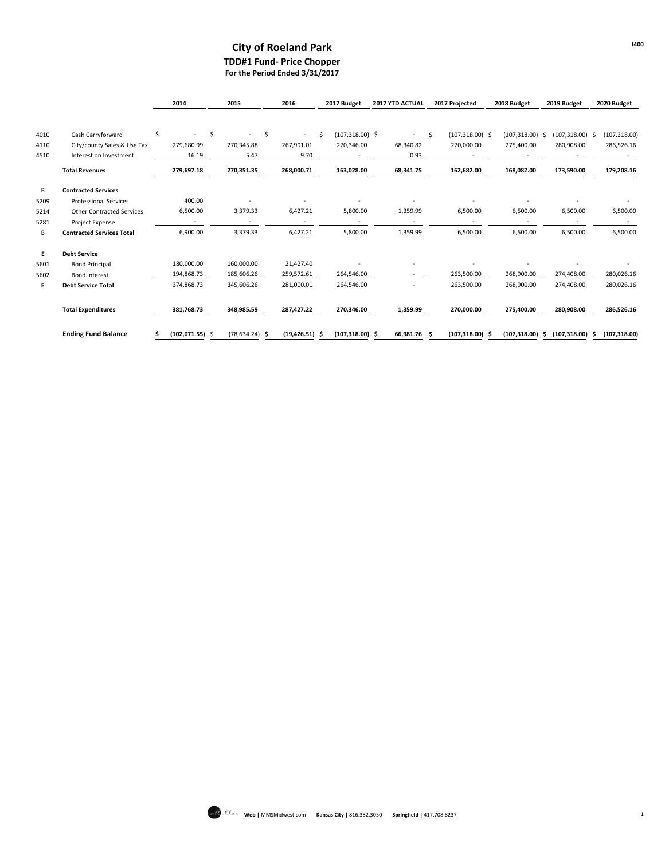### **City of Roeland Park TDD#1 Fund- Price Chopper For the Period Ended 3/31/2017**

|      |                                  | 2014                    | 2015                     | 2016                           | 2017 Budget              | <b>2017 YTD ACTUAL</b>   | 2017 Projected     | 2018 Budget        | 2019 Budget        | 2020 Budget   |
|------|----------------------------------|-------------------------|--------------------------|--------------------------------|--------------------------|--------------------------|--------------------|--------------------|--------------------|---------------|
| 4010 | Cash Carryforward                | \$                      | \$<br>$\sim$             | \$<br>$\overline{\phantom{a}}$ | Ś.<br>$(107, 318.00)$ \$ | ٠                        | Ŝ.                 | $(107, 318.00)$ \$ | $(107, 318.00)$ \$ |               |
|      |                                  |                         |                          |                                |                          |                          | $(107,318.00)$ \$  |                    |                    | (107, 318.00) |
| 4110 | City/county Sales & Use Tax      | 279,680.99              | 270,345.88               | 267,991.01                     | 270,346.00               | 68,340.82                | 270,000.00         | 275,400.00         | 280,908.00         | 286,526.16    |
| 4510 | Interest on Investment           | 16.19                   | 5.47                     | 9.70                           |                          | 0.93                     |                    |                    |                    |               |
|      | <b>Total Revenues</b>            | 279,697.18              | 270,351.35               | 268,000.71                     | 163,028.00               | 68,341.75                | 162,682.00         | 168,082.00         | 173,590.00         | 179,208.16    |
| B    | <b>Contracted Services</b>       |                         |                          |                                |                          |                          |                    |                    |                    |               |
| 5209 | <b>Professional Services</b>     | 400.00                  |                          |                                |                          |                          |                    |                    |                    |               |
| 5214 | <b>Other Contracted Services</b> | 6,500.00                | 3,379.33                 | 6,427.21                       | 5,800.00                 | 1,359.99                 | 6,500.00           | 6,500.00           | 6,500.00           | 6,500.00      |
| 5281 | Project Expense                  | $\sim$                  | $\overline{\phantom{a}}$ | $\sim$                         | $\sim$                   | $\overline{\phantom{a}}$ | $\sim$             | ٠                  |                    | $\sim$        |
| В    | <b>Contracted Services Total</b> | 6,900.00                | 3,379.33                 | 6,427.21                       | 5,800.00                 | 1,359.99                 | 6,500.00           | 6,500.00           | 6,500.00           | 6,500.00      |
| E    | <b>Debt Service</b>              |                         |                          |                                |                          |                          |                    |                    |                    |               |
| 5601 | <b>Bond Principal</b>            | 180,000.00              | 160,000.00               | 21,427.40                      |                          |                          |                    |                    |                    |               |
| 5602 | <b>Bond Interest</b>             | 194,868.73              | 185,606.26               | 259,572.61                     | 264,546.00               |                          | 263,500.00         | 268,900.00         | 274,408.00         | 280,026.16    |
| E    | <b>Debt Service Total</b>        | 374,868.73              | 345,606.26               | 281,000.01                     | 264,546.00               |                          | 263,500.00         | 268.900.00         | 274,408.00         | 280,026.16    |
|      | <b>Total Expenditures</b>        | 381,768.73              | 348,985.59               | 287,427.22                     | 270,346.00               | 1,359.99                 | 270,000.00         | 275,400.00         | 280,908.00         | 286,526.16    |
|      | <b>Ending Fund Balance</b>       | $(102,071.55)$ \$<br>Ś. | $(78, 634.24)$ \$        | $(19, 426.51)$ \$              | $(107, 318.00)$ \$       | 66,981.76 \$             | $(107, 318.00)$ \$ | $(107,318.00)$ \$  | $(107,318.00)$ \$  | (107, 318.00) |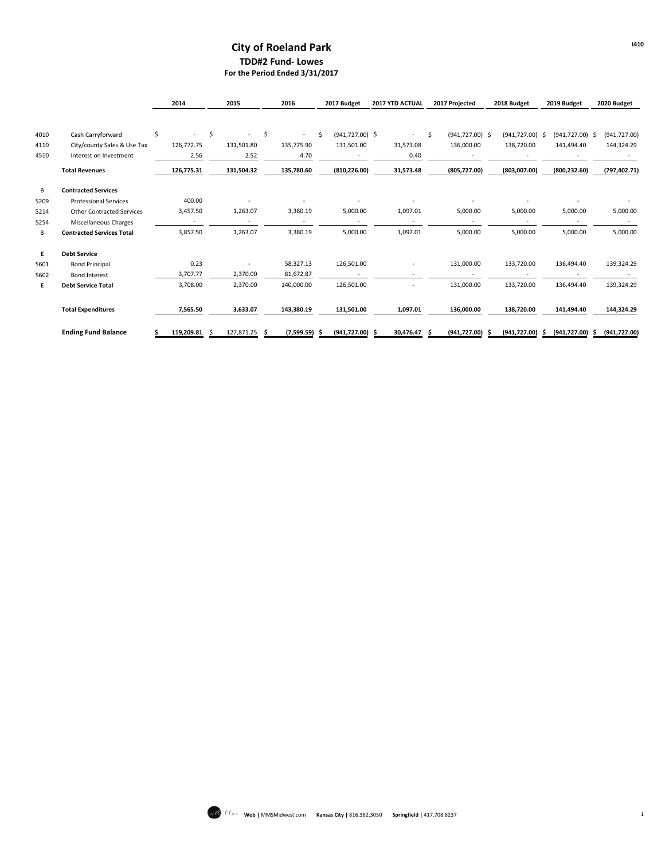### **City of Roeland Park TDD#2 Fund- Lowes For the Period Ended 3/31/2017**

|      |                                  | 2014                     |      | 2015                     |     | 2016            | 2017 Budget              | <b>2017 YTD ACTUAL</b>   |    | 2017 Projected     | 2018 Budget        | 2019 Budget              | 2020 Budget   |
|------|----------------------------------|--------------------------|------|--------------------------|-----|-----------------|--------------------------|--------------------------|----|--------------------|--------------------|--------------------------|---------------|
|      |                                  |                          |      |                          |     |                 |                          |                          |    |                    |                    |                          |               |
| 4010 | Cash Carryforward                | \$                       | \$   | $\sim$                   | Ŝ.  | $\sim$          | \$<br>$(941, 727.00)$ \$ | $\sim$                   | Ŝ. | $(941, 727.00)$ \$ | $(941, 727.00)$ \$ | $(941, 727.00)$ \$       | (941, 727.00) |
| 4110 | City/county Sales & Use Tax      | 126,772.75               |      | 131,501.80               |     | 135,775.90      | 131,501.00               | 31,573.08                |    | 136,000.00         | 138,720.00         | 141,494.40               | 144,324.29    |
| 4510 | Interest on Investment           |                          | 2.56 | 2.52                     |     | 4.70            |                          | 0.40                     |    |                    |                    |                          |               |
|      | <b>Total Revenues</b>            | 126,775.31               |      | 131,504.32               |     | 135,780.60      | (810, 226.00)            | 31,573.48                |    | (805, 727.00)      | (803,007.00)       | (800, 232.60)            | (797, 402.71) |
| В    | <b>Contracted Services</b>       |                          |      |                          |     |                 |                          |                          |    |                    |                    |                          |               |
| 5209 | <b>Professional Services</b>     | 400.00                   |      |                          |     |                 |                          |                          |    |                    |                    |                          |               |
| 5214 | <b>Other Contracted Services</b> | 3,457.50                 |      | 1,263.07                 |     | 3,380.19        | 5,000.00                 | 1,097.01                 |    | 5,000.00           | 5,000.00           | 5,000.00                 | 5,000.00      |
| 5254 | Miscellaneous Charges            | $\overline{\phantom{a}}$ |      | $\overline{\phantom{a}}$ |     | $\sim$          | $\sim$                   | $\overline{\phantom{a}}$ |    | ٠                  |                    | $\overline{\phantom{a}}$ | $\sim$        |
| В    | <b>Contracted Services Total</b> | 3,857.50                 |      | 1,263.07                 |     | 3,380.19        | 5,000.00                 | 1,097.01                 |    | 5,000.00           | 5,000.00           | 5,000.00                 | 5,000.00      |
| E    | <b>Debt Service</b>              |                          |      |                          |     |                 |                          |                          |    |                    |                    |                          |               |
| 5601 | <b>Bond Principal</b>            |                          | 0.23 |                          |     | 58,327.13       | 126,501.00               | -                        |    | 131,000.00         | 133,720.00         | 136,494.40               | 139,324.29    |
| 5602 | <b>Bond Interest</b>             | 3,707.77                 |      | 2,370.00                 |     | 81,672.87       |                          |                          |    |                    |                    |                          |               |
| Е    | <b>Debt Service Total</b>        | 3,708.00                 |      | 2,370.00                 |     | 140,000.00      | 126,501.00               | ٠                        |    | 131,000.00         | 133,720.00         | 136,494.40               | 139,324.29    |
|      | <b>Total Expenditures</b>        | 7,565.50                 |      | 3,633.07                 |     | 143,380.19      | 131,501.00               | 1,097.01                 |    | 136,000.00         | 138,720.00         | 141,494.40               | 144,324.29    |
|      | <b>Ending Fund Balance</b>       | 119,209.81<br>\$.        |      | 127,871.25               | - Ś | $(7,599.59)$ \$ | $(941, 727.00)$ \$       | 30,476.47 \$             |    | $(941, 727.00)$ \$ | $(941, 727.00)$ \$ | $(941, 727.00)$ \$       | (941, 727.00) |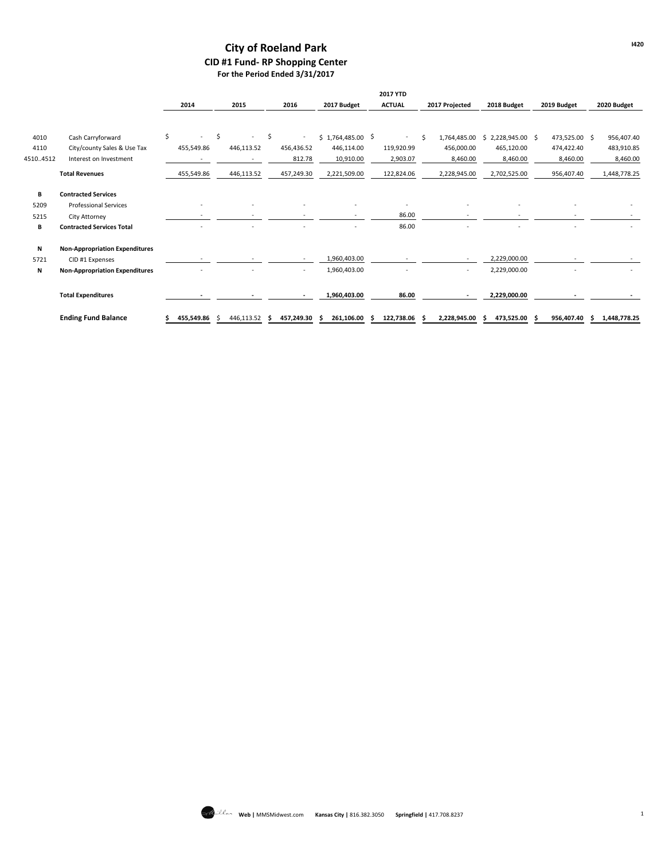## **City of Roeland Park CID #1 Fund- RP Shopping Center For the Period Ended 3/31/2017**

|          |                                       |            |            |     |                          |                    | 2017 YTD      |   |                |                       |               |    |              |
|----------|---------------------------------------|------------|------------|-----|--------------------------|--------------------|---------------|---|----------------|-----------------------|---------------|----|--------------|
|          |                                       | 2014       | 2015       |     | 2016                     | 2017 Budget        | <b>ACTUAL</b> |   | 2017 Projected | 2018 Budget           | 2019 Budget   |    | 2020 Budget  |
|          |                                       |            |            |     |                          |                    |               |   |                |                       |               |    |              |
| 4010     | Cash Carryforward                     | \$         | \$<br>٠    | \$  | $\overline{\phantom{a}}$ | $$1,764,485.00$ \$ | $\sim$        | Ś | 1,764,485.00   | 2,228,945.00 \$<br>S. | 473,525.00 \$ |    | 956,407.40   |
| 4110     | City/county Sales & Use Tax           | 455,549.86 | 446,113.52 |     | 456,436.52               | 446,114.00         | 119,920.99    |   | 456,000.00     | 465,120.00            | 474,422.40    |    | 483,910.85   |
| 45104512 | Interest on Investment                |            |            |     | 812.78                   | 10,910.00          | 2,903.07      |   | 8,460.00       | 8,460.00              | 8,460.00      |    | 8,460.00     |
|          | <b>Total Revenues</b>                 | 455,549.86 | 446,113.52 |     | 457,249.30               | 2,221,509.00       | 122,824.06    |   | 2,228,945.00   | 2,702,525.00          | 956,407.40    |    | 1,448,778.25 |
| в        | <b>Contracted Services</b>            |            |            |     |                          |                    |               |   |                |                       |               |    |              |
| 5209     | <b>Professional Services</b>          |            |            |     |                          |                    |               |   |                |                       |               |    |              |
| 5215     | City Attorney                         |            |            |     |                          |                    | 86.00         |   |                |                       |               |    |              |
| В        | <b>Contracted Services Total</b>      |            |            |     |                          |                    | 86.00         |   |                |                       |               |    |              |
| Ν        | <b>Non-Appropriation Expenditures</b> |            |            |     |                          |                    |               |   |                |                       |               |    |              |
| 5721     | CID #1 Expenses                       |            |            |     | $\sim$                   | 1,960,403.00       |               |   |                | 2,229,000.00          |               |    |              |
| Ν        | <b>Non-Appropriation Expenditures</b> |            |            |     | ٠                        | 1,960,403.00       |               |   | ٠              | 2,229,000.00          |               |    |              |
|          | <b>Total Expenditures</b>             |            |            |     |                          | 1,960,403.00       | 86.00         |   |                | 2,229,000.00          |               |    |              |
|          | <b>Ending Fund Balance</b>            | 455,549.86 | 446,113.52 | - Ś | 457,249.30               | 261,106.00         | 122,738.06    |   | 2,228,945.00   | 473,525.00            | 956,407.40    | Ŝ. | 1,448,778.25 |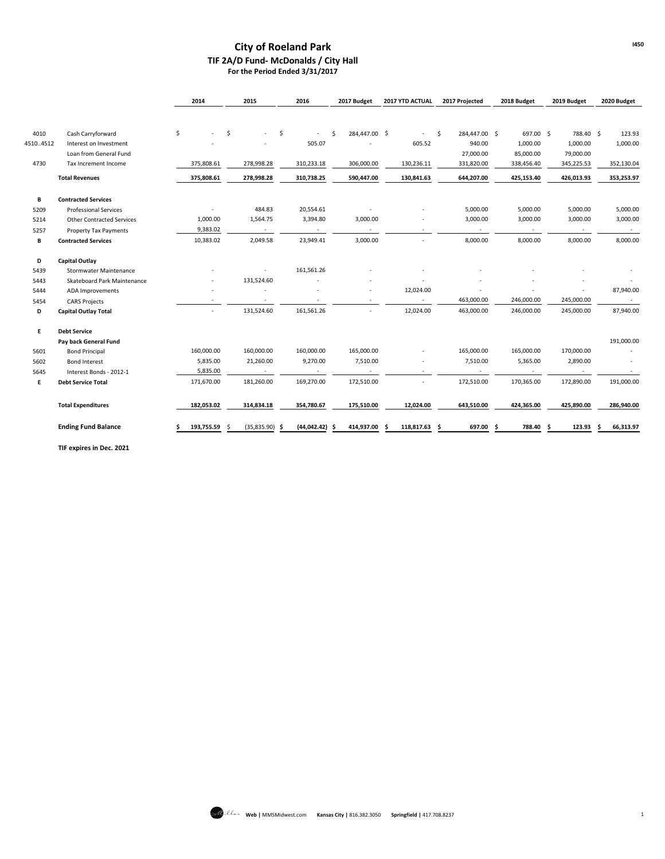#### **City of Roeland Park TIF 2A/D Fund- McDonalds / City Hall For the Period Ended 3/31/2017**

|          |                                  | 2014       | 2015              | 2016                | 2017 Budget        | 2017 YTD ACTUAL          | 2017 Projected      | 2018 Budget  | 2019 Budget              | 2020 Budget     |
|----------|----------------------------------|------------|-------------------|---------------------|--------------------|--------------------------|---------------------|--------------|--------------------------|-----------------|
|          |                                  |            |                   |                     |                    |                          |                     |              |                          |                 |
|          |                                  |            |                   |                     |                    |                          |                     |              |                          |                 |
| 4010     | Cash Carryforward                | \$         | \$                | \$                  | 284,447.00 \$<br>Ŝ | $\overline{\phantom{a}}$ | Ŝ.<br>284,447.00 \$ | 697.00 \$    | 788.40 \$                | 123.93          |
| 45104512 | Interest on Investment           |            |                   | 505.07              |                    | 605.52                   | 940.00              | 1,000.00     | 1,000.00                 | 1,000.00        |
|          | Loan from General Fund           |            |                   |                     |                    |                          | 27,000.00           | 85,000.00    | 79,000.00                |                 |
| 4730     | Tax Increment Income             | 375,808.61 | 278,998.28        | 310,233.18          | 306,000.00         | 130,236.11               | 331,820.00          | 338,456.40   | 345,225.53               | 352,130.04      |
|          | <b>Total Revenues</b>            | 375,808.61 | 278,998.28        | 310,738.25          | 590,447.00         | 130,841.63               | 644,207.00          | 425,153.40   | 426,013.93               | 353,253.97      |
| в        | <b>Contracted Services</b>       |            |                   |                     |                    |                          |                     |              |                          |                 |
| 5209     | <b>Professional Services</b>     |            | 484.83            | 20,554.61           |                    |                          | 5,000.00            | 5,000.00     | 5,000.00                 | 5,000.00        |
| 5214     | <b>Other Contracted Services</b> | 1,000.00   | 1,564.75          | 3,394.80            | 3,000.00           |                          | 3,000.00            | 3,000.00     | 3,000.00                 | 3,000.00        |
| 5257     | <b>Property Tax Payments</b>     | 9,383.02   | $\sim$            | $\sim$              | $\sim$             | ٠                        | $\sim$              | $\sim$       | $\sim$                   | $\sim$          |
| В        | <b>Contracted Services</b>       | 10,383.02  | 2,049.58          | 23,949.41           | 3,000.00           | ٠                        | 8,000.00            | 8,000.00     | 8,000.00                 | 8,000.00        |
| D        | <b>Capital Outlay</b>            |            |                   |                     |                    |                          |                     |              |                          |                 |
| 5439     | Stormwater Maintenance           |            |                   | 161,561.26          |                    |                          |                     |              |                          |                 |
| 5443     | Skateboard Park Maintenance      |            | 131,524.60        |                     |                    |                          |                     |              |                          |                 |
| 5444     | ADA Improvements                 |            |                   |                     |                    | 12,024.00                |                     |              |                          | 87,940.00       |
| 5454     | <b>CARS Projects</b>             |            | $\sim$            | ٠                   |                    | $\sim$                   | 463,000.00          | 246,000.00   | 245,000.00               | $\sim$          |
| D        | <b>Capital Outlay Total</b>      |            | 131,524.60        | 161,561.26          |                    | 12,024.00                | 463,000.00          | 246,000.00   | 245,000.00               | 87,940.00       |
| Е        | <b>Debt Service</b>              |            |                   |                     |                    |                          |                     |              |                          |                 |
|          | Pay back General Fund            |            |                   |                     |                    |                          |                     |              |                          | 191,000.00      |
| 5601     | <b>Bond Principal</b>            | 160,000.00 | 160,000.00        | 160,000.00          | 165,000.00         |                          | 165,000.00          | 165,000.00   | 170,000.00               |                 |
| 5602     | <b>Bond Interest</b>             | 5,835.00   | 21,260.00         | 9,270.00            | 7,510.00           |                          | 7,510.00            | 5,365.00     | 2,890.00                 |                 |
| 5645     | Interest Bonds - 2012-1          | 5,835.00   | $\sim$            | $\sim$              |                    | ٠                        | $\sim$              | $\sim$       | $\overline{\phantom{a}}$ | $\sim$          |
| Е        | <b>Debt Service Total</b>        | 171,670.00 | 181,260.00        | 169,270.00          | 172,510.00         | ٠                        | 172,510.00          | 170,365.00   | 172,890.00               | 191,000.00      |
|          | <b>Total Expenditures</b>        | 182,053.02 | 314,834.18        | 354,780.67          | 175,510.00         | 12,024.00                | 643,510.00          | 424,365.00   | 425,890.00               | 286,940.00      |
|          | <b>Ending Fund Balance</b>       | 193,755.59 | (35,835.90)<br>.S | (44, 042.42)<br>- S | 414,937.00<br>.s   | 118,817.63               | 697.00<br>.s        | 788.40<br>Ŝ. | 123.93<br>Ŝ.             | 66,313.97<br>.s |

**TIF expires in Dec. 2021**

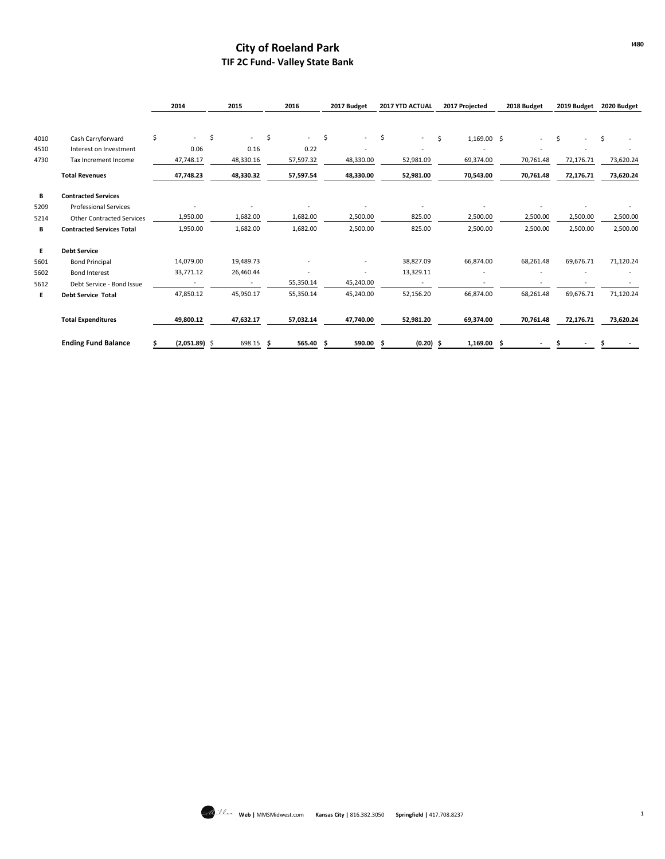# **City of Roeland Park TIF 2C Fund- Valley State Bank**

|      |                                  | 2014                           | 2015                              | 2016         | 2017 Budget              | 2017 YTD ACTUAL                |   | 2017 Projected | 2018 Budget |   | 2019 Budget |    | 2020 Budget |
|------|----------------------------------|--------------------------------|-----------------------------------|--------------|--------------------------|--------------------------------|---|----------------|-------------|---|-------------|----|-------------|
|      |                                  |                                |                                   |              |                          |                                |   |                |             |   |             |    |             |
| 4010 | Cash Carryforward                | \$<br>$\overline{\phantom{a}}$ | \$<br>$\mathcal{L}_{\mathcal{A}}$ | \$<br>$\sim$ | \$<br>$\sim$             | \$<br>$\overline{\phantom{0}}$ | Ś | $1,169.00$ \$  | $\sim$      | Ś |             | Ŝ. |             |
| 4510 | Interest on Investment           | 0.06                           | 0.16                              | 0.22         | ٠                        | ٠                              |   |                |             |   |             |    |             |
| 4730 | Tax Increment Income             | 47,748.17                      | 48,330.16                         | 57,597.32    | 48,330.00                | 52,981.09                      |   | 69,374.00      | 70,761.48   |   | 72,176.71   |    | 73,620.24   |
|      | <b>Total Revenues</b>            | 47,748.23                      | 48,330.32                         | 57,597.54    | 48,330.00                | 52,981.00                      |   | 70,543.00      | 70,761.48   |   | 72,176.71   |    | 73,620.24   |
| В    | <b>Contracted Services</b>       |                                |                                   |              |                          |                                |   |                |             |   |             |    |             |
| 5209 | <b>Professional Services</b>     |                                |                                   |              |                          |                                |   |                |             |   |             |    |             |
| 5214 | <b>Other Contracted Services</b> | 1,950.00                       | 1,682.00                          | 1,682.00     | 2,500.00                 | 825.00                         |   | 2,500.00       | 2,500.00    |   | 2,500.00    |    | 2,500.00    |
| В    | <b>Contracted Services Total</b> | 1,950.00                       | 1,682.00                          | 1,682.00     | 2,500.00                 | 825.00                         |   | 2,500.00       | 2,500.00    |   | 2,500.00    |    | 2,500.00    |
| E.   | <b>Debt Service</b>              |                                |                                   |              |                          |                                |   |                |             |   |             |    |             |
| 5601 | <b>Bond Principal</b>            | 14,079.00                      | 19,489.73                         |              | ٠                        | 38,827.09                      |   | 66,874.00      | 68,261.48   |   | 69,676.71   |    | 71,120.24   |
| 5602 | <b>Bond Interest</b>             | 33,771.12                      | 26,460.44                         |              | $\overline{\phantom{a}}$ | 13,329.11                      |   |                |             |   |             |    |             |
| 5612 | Debt Service - Bond Issue        |                                |                                   | 55,350.14    | 45,240.00                |                                |   |                |             |   |             |    |             |
| E.   | <b>Debt Service Total</b>        | 47,850.12                      | 45,950.17                         | 55,350.14    | 45,240.00                | 52,156.20                      |   | 66,874.00      | 68,261.48   |   | 69,676.71   |    | 71,120.24   |
|      | <b>Total Expenditures</b>        | 49,800.12                      | 47,632.17                         | 57,032.14    | 47,740.00                | 52,981.20                      |   | 69,374.00      | 70,761.48   |   | 72,176.71   |    | 73,620.24   |
|      | <b>Ending Fund Balance</b>       | \$<br>$(2,051.89)$ \$          | 698.15 \$                         | 565.40 \$    | 590.00 \$                | $(0.20)$ \$                    |   | $1,169.00$ \$  |             |   |             | S  |             |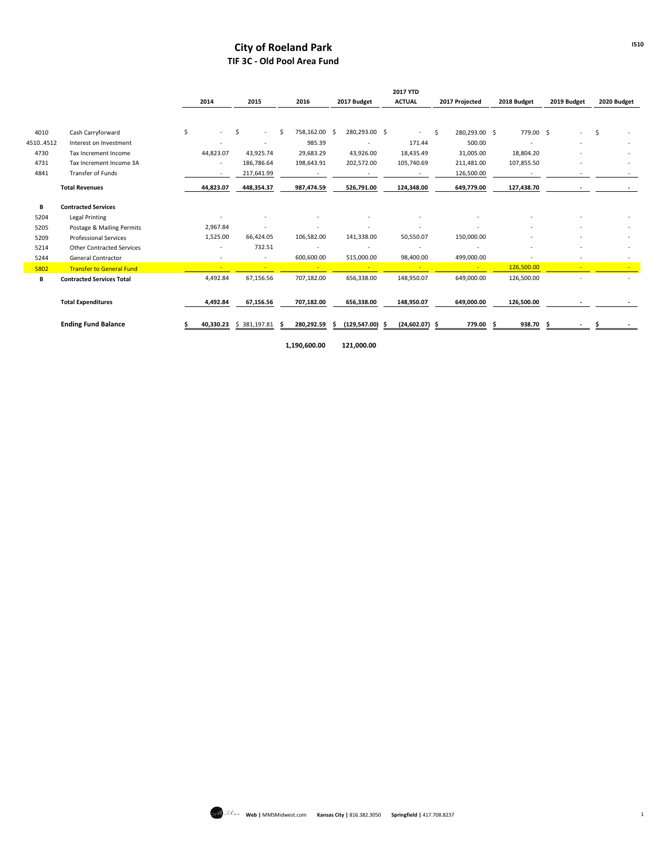## **City of Roeland Park TIF 3C - Old Pool Area Fund**

|          |                                  |                          |                          |                     |                   | <b>2017 YTD</b> |                     |                 |             |             |
|----------|----------------------------------|--------------------------|--------------------------|---------------------|-------------------|-----------------|---------------------|-----------------|-------------|-------------|
|          |                                  | 2014                     | 2015                     | 2016                | 2017 Budget       | <b>ACTUAL</b>   | 2017 Projected      | 2018 Budget     | 2019 Budget | 2020 Budget |
|          |                                  |                          |                          |                     |                   |                 |                     |                 |             |             |
| 4010     | Cash Carryforward                | \$                       | -S<br>$\sim$             | Ś.<br>758,162.00 \$ | 280,293.00 \$     | $\sim$          | Ŝ.<br>280,293.00 \$ | 779.00 \$       |             | \$          |
| 45104512 | Interest on Investment           |                          |                          | 985.39              |                   | 171.44          | 500.00              |                 |             |             |
| 4730     | Tax Increment Income             | 44,823.07                | 43,925.74                | 29,683.29           | 43,926.00         | 18,435.49       | 31,005.00           | 18,804.20       |             |             |
| 4731     | Tax Increment Income 3A          | $\overline{\phantom{a}}$ | 186,786.64               | 198,643.91          | 202,572.00        | 105,740.69      | 211,481.00          | 107,855.50      |             |             |
| 4841     | Transfer of Funds                | ٠                        | 217,641.99               |                     |                   | ٠               | 126,500.00          |                 |             |             |
|          | <b>Total Revenues</b>            | 44,823.07                | 448,354.37               | 987,474.59          | 526,791.00        | 124,348.00      | 649,779.00          | 127,438.70      |             |             |
| В        | <b>Contracted Services</b>       |                          |                          |                     |                   |                 |                     |                 |             |             |
| 5204     | <b>Legal Printing</b>            |                          |                          |                     |                   |                 |                     |                 |             |             |
| 5205     | Postage & Mailing Permits        | 2,967.84                 |                          |                     |                   |                 |                     |                 |             |             |
| 5209     | <b>Professional Services</b>     | 1,525.00                 | 66,424.05                | 106,582.00          | 141,338.00        | 50,550.07       | 150,000.00          |                 |             |             |
| 5214     | <b>Other Contracted Services</b> | ٠                        | 732.51                   |                     | ٠                 |                 |                     |                 |             |             |
| 5244     | <b>General Contractor</b>        | ٠                        | $\overline{\phantom{a}}$ | 600,600.00          | 515,000.00        | 98,400.00       | 499,000.00          |                 |             |             |
| 5802     | <b>Transfer to General Fund</b>  |                          |                          |                     | $\sim$            | <b>COL</b>      | $\sim$              | 126,500.00      |             |             |
| В        | <b>Contracted Services Total</b> | 4,492.84                 | 67,156.56                | 707,182.00          | 656,338.00        | 148,950.07      | 649,000.00          | 126,500.00      |             |             |
|          | <b>Total Expenditures</b>        | 4,492.84                 | 67,156.56                | 707,182.00          | 656,338.00        | 148,950.07      | 649,000.00          | 126,500.00      |             |             |
|          | <b>Ending Fund Balance</b>       | 40,330.23                | \$381,197.81             | 280,292.59          | $(129,547.00)$ \$ | (24, 602.07)    | 779.00<br>-S        | 938.70 \$<br>-S |             |             |

**1,190,600.00 121,000.00**

**I510**